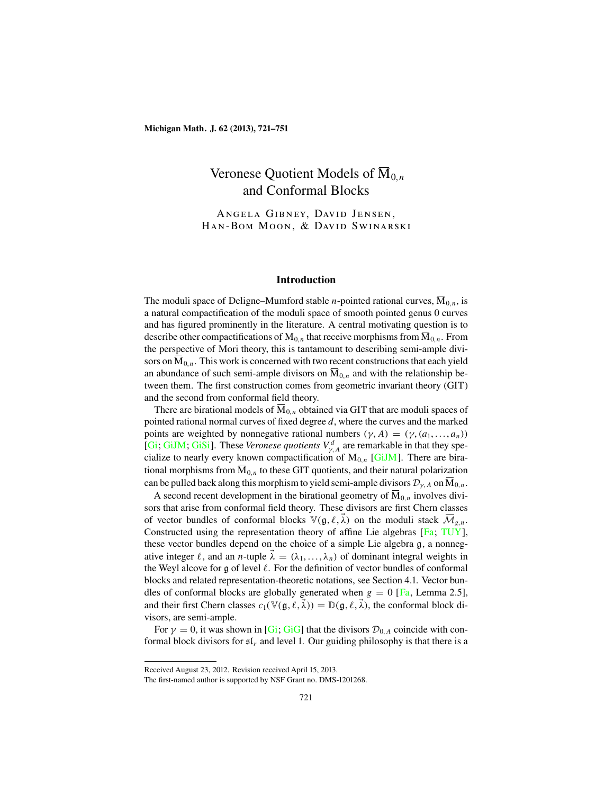# Veronese Quotient Models of  $\overline{M}_{0,n}$ and Conformal Blocks

Angela Gibney, David Jensen, Han-Bom Moon, & David Swinarski

#### **Introduction**

The moduli space of Deligne–Mumford stable *n*-pointed rational curves,  $\overline{M}_{0,n}$ , is a natural compactification of the moduli space of smooth pointed genus 0 curves and has figured prominently in the literature. A central motivating question is to describe other compactifications of  $M_{0,n}$  that receive morphisms from  $\overline{M}_{0,n}$ . From the perspective of Mori theory, this is tantamount to describing semi-ample divisors on  $\overline{M}_{0,n}$ . This work is concerned with two recent constructions that each yield an abundance of such semi-ample divisors on  $\overline{M}_{0,n}$  and with the relationship between them. The first construction comes from geometric invariant theory (GIT) and the second from conformal field theory.

There are birational models of  $\overline{M}_{0,n}$  obtained via GIT that are moduli spaces of pointed rational normal curves of fixed degree  $d$ , where the curves and the marked points are weighted by nonnegative rational numbers  $(\gamma, A) = (\gamma, (a_1, \dots, a_n))$ [\[Gi](#page-29-0); [GiJM](#page-29-0); [GiSi](#page-29-0)]. These *Veronese quotients*  $V_{\gamma,A}^d$  are remarkable in that they specialize to nearly every known compactification of  $M_{0,n}$  [\[GiJM](#page-29-0)]. There are birational morphisms from  $\overline{M}_{0,n}$  to these GIT quotients, and their natural polarization can be pulled back along this morphism to yield semi-ample divisors  $\mathcal{D}_{\gamma,A}$  on  $\overline{M}_{0,n}$ .

A second recent development in the birational geometry of  $\overline{M}_{0,n}$  involves divisors that arise from conformal field theory. These divisors are first Chern classes of vector bundles of conformal blocks  $\mathbb{V}(\mathfrak{g}, \ell, \vec{\lambda})$  on the moduli stack  $\overline{\mathcal{M}}_{g,n}$ . Constructed using the representation theory of affine Lie algebras [[Fa](#page-29-0); [TUY](#page-30-0)], these vector bundles depend on the choice of a simple Lie algebra g, a nonnegative integer  $\ell$ , and an *n*-tuple  $\vec{\lambda} = (\lambda_1, ..., \lambda_n)$  of dominant integral weights in the Weyl alcove for  $g$  of level  $\ell$ . For the definition of vector bundles of conformal blocks and related representation-theoretic notations, see Section 4.1. Vector bundles of conformal blocks are globally generated when  $g = 0$  [[Fa](#page-29-0), Lemma 2.5], and their first Chern classes  $c_1(\mathbb{V}(\mathfrak{g}, \ell, \vec{\lambda})) = \mathbb{D}(\mathfrak{g}, \ell, \vec{\lambda})$ , the conformal block divisors, are semi-ample.

For  $\gamma = 0$ , it was shown in [\[Gi](#page-29-0); [GiG\]](#page-29-0) that the divisors  $\mathcal{D}_{0,A}$  coincide with conformal block divisors for  $\mathfrak{sl}_r$  and level 1. Our guiding philosophy is that there is a

Received August 23, 2012. Revision received April 15, 2013.

The first-named author is supported by NSF Grant no. DMS-1201268.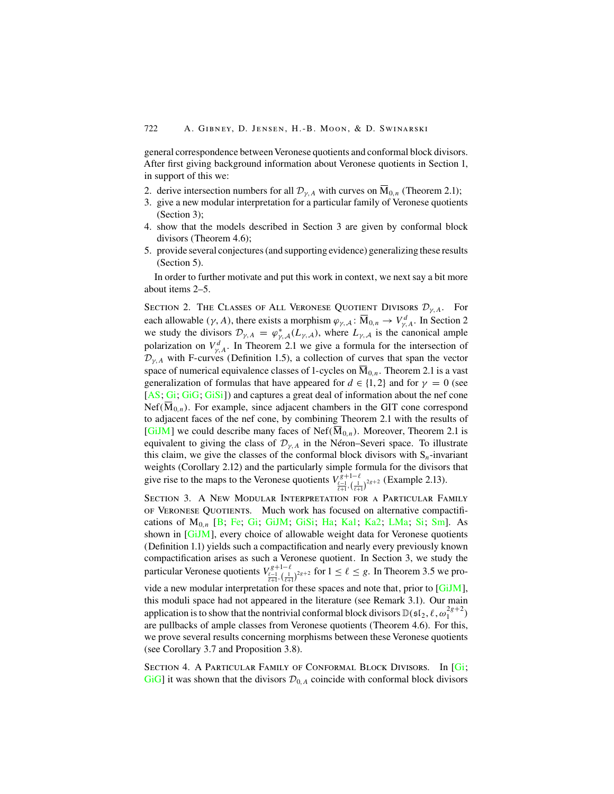general correspondence between Veronese quotients and conformal block divisors. After first giving background information about Veronese quotients in Section 1, in support of this we:

- 2. derive intersection numbers for all  $\mathcal{D}_{\gamma,A}$  with curves on  $\overline{M}_{0,n}$  (Theorem 2.1);
- 3. give a new modular interpretation for a particular family of Veronese quotients (Section 3);
- 4. show that the models described in Section 3 are given by conformal block divisors (Theorem 4.6);
- 5. provide several conjectures (and supporting evidence) generalizing these results (Section 5).

In order to further motivate and put this work in context, we next say a bit more about items 2–5.

SECTION 2. THE CLASSES OF ALL VERONESE QUOTIENT DIVISORS  $\mathcal{D}_{\gamma,A}$ . For each allowable ( $\gamma$ , A), there exists a morphism  $\varphi_{\gamma,A}$ :  $\overline{M}_{0,n} \to V^d_{\gamma,A}$ . In Section 2 we study the divisors  $\mathcal{D}_{\gamma,A} = \varphi_{\gamma,A}^*(L_{\gamma,A})$ , where  $L_{\gamma,A}$  is the canonical ample polarization on  $V_{\gamma,A}^d$ . In Theorem 2.1 we give a formula for the intersection of  $\mathcal{D}_{\gamma,A}$  with F-curves (Definition 1.5), a collection of curves that span the vector space of numerical equivalence classes of 1-cycles on  $M_{0,n}$ . Theorem 2.1 is a vast generalization of formulas that have appeared for  $d \in \{1, 2\}$  and for  $\gamma = 0$  (see  $[AS; Gi; Gi; GiSi]$  $[AS; Gi; Gi; GiSi]$  $[AS; Gi; Gi; GiSi]$  $[AS; Gi; Gi; GiSi]$  $[AS; Gi; Gi; GiSi]$  $[AS; Gi; Gi; GiSi]$  $[AS; Gi; Gi; GiSi]$  and captures a great deal of information about the nef cone Nef( $\overline{M}_{0,n}$ ). For example, since adjacent chambers in the GIT cone correspond to adjacent faces of the nef cone, by combining Theorem 2.1 with the results of [\[GiJM](#page-29-0)] we could describe many faces of Nef( $\overline{M}_{0,n}$ ). Moreover, Theorem 2.1 is equivalent to giving the class of  $\mathcal{D}_{\gamma,A}$  in the Néron–Severi space. To illustrate this claim, we give the classes of the conformal block divisors with  $S_n$ -invariant weights (Corollary 2.12) and the particularly simple formula for the divisors that give rise to the maps to the Veronese quotients  $V_{\frac{\ell-1}{\ell+1},(\frac{1}{\ell+1})}^{\frac{g+1-\ell}{\ell+1-\ell}}$  (Example 2.13).

Section 3. A New Modular Interpretation for a Particular Family of Veronese Quotients. Much work has focused on alternative compactifications of  $M_{0,n}$  [[B](#page-29-0); [Fe](#page-29-0); [Gi](#page-29-0); [GiJM](#page-29-0); [GiSi](#page-29-0); [Ha](#page-29-0); [Ka1](#page-29-0); [Ka2](#page-29-0); [LMa](#page-30-0); [Si](#page-30-0); [Sm\]](#page-30-0). As shown in [\[GiJM](#page-29-0)], every choice of allowable weight data for Veronese quotients (Definition 1.1) yields such a compactification and nearly every previously known compactification arises as such a Veronese quotient. In Section 3, we study the particular Veronese quotients  $V_{\frac{\ell-1}{\ell+1}, (\frac{\ell-1}{\ell+1})^{2g+2}}^{g+1-\ell}$  for  $1 \leq \ell \leq g$ . In Theorem 3.5 we provide a new modular interpretation for these spaces and note that, prior to  $[G_i]M$ , this moduli space had not appeared in the literature (see Remark 3.1). Our main application is to show that the nontrivial conformal block divisors  $\mathbb{D}(\mathfrak{sl}_2,\ell,\omega_1^{2g+2})$ are pullbacks of ample classes from Veronese quotients (Theorem 4.6). For this, we prove several results concerning morphisms between these Veronese quotients (see Corollary 3.7 and Proposition 3.8).

SECTION 4. A PARTICULAR FAMILY OF CONFORMAL BLOCK DIVISORS. In [[Gi](#page-29-0);  $G_i$  it was shown that the divisors  $\mathcal{D}_{0,A}$  coincide with conformal block divisors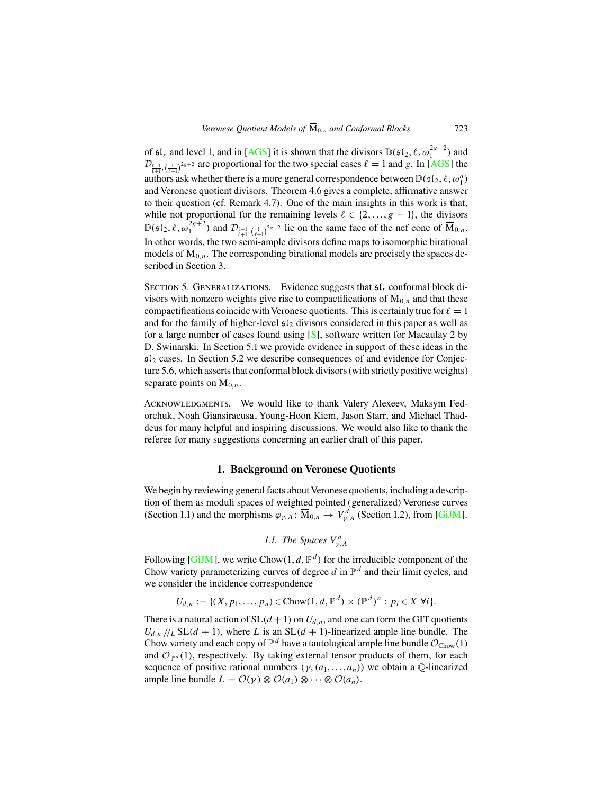of  $\mathfrak{sl}_r$  and level 1, and in [[AGS\]](#page-29-0) it is shown that the divisors  $\mathbb{D}(\mathfrak{sl}_2, \ell, \omega_1^{2g+2})$  and  $\mathcal{D}_{\frac{\ell-1}{\ell+1},\left(\frac{1}{\ell+1}\right)^{2g+2}}$  are proportional for the two special cases  $\ell = 1$  and g. In [[AGS\]](#page-29-0) the authors ask whether there is a more general correspondence between  $\mathbb{D}(\mathfrak{sl}_2, \ell, \omega_1^n)$ and Veronese quotient divisors. Theorem 4.6 gives a complete, affirmative answer to their question (cf. Remark 4.7). One of the main insights in this work is that, while not proportional for the remaining levels  $\ell \in \{2, ..., g - 1\}$ , the divisors  $\mathbb{D}(\mathfrak{sl}_2, \ell, \omega_1^{2g+2})$  and  $\mathcal{D}_{\ell-1}$ ,  $\left(\frac{1}{\ell+1}\right)^{2g+2}$  lie on the same face of the nef cone of  $\overline{M}_{0,n}$ . In other words, the two semi-ample divisors define maps to isomorphic birational models of  $\overline{M}_{0,n}$ . The corresponding birational models are precisely the spaces described in Section 3.

SECTION 5. GENERALIZATIONS. Evidence suggests that  $\mathfrak{sl}_r$  conformal block divisors with nonzero weights give rise to compactifications of  $M_{0,n}$  and that these compactifications coincide with Veronese quotients. This is certainly true for  $\ell = 1$ and for the family of higher-level  $\mathfrak{sl}_2$  divisors considered in this paper as well as for a large number of cases found using  $[S]$ , software written for Macaulay 2 by D. Swinarski. In Section 5.1 we provide evidence in support of these ideas in the  $s1<sub>2</sub>$  cases. In Section 5.2 we describe consequences of and evidence for Conjecture 5.6, which asserts that conformal block divisors (with strictly positive weights) separate points on  $M_0$ <sub>n</sub>.

Acknowledgments. We would like to thank Valery Alexeev, Maksym Fedorchuk, Noah Giansiracusa, Young-Hoon Kiem, Jason Starr, and Michael Thaddeus for many helpful and inspiring discussions. We would also like to thank the referee for many suggestions concerning an earlier draft of this paper.

## **1. Background on Veronese Quotients**

We begin by reviewing general facts about Veronese quotients, including a description of them as moduli spaces of weighted pointed (generalized) Veronese curves (Section 1.1) and the morphisms  $\varphi_{\gamma,A} : \overline{M}_{0,n} \to V^d_{\gamma,A}$  (Section 1.2), from [\[GiJM](#page-29-0)].

1.1. The Spaces 
$$
V_{\gamma,A}^d
$$

Following [\[GiJM](#page-29-0)], we write Chow(1,  $d$ ,  $\mathbb{P}^d$ ) for the irreducible component of the Chow variety parameterizing curves of degree  $d$  in  $\mathbb{P}^d$  and their limit cycles, and we consider the incidence correspondence

$$
U_{d,n} := \{ (X, p_1, \ldots, p_n) \in \text{Chow}(1, d, \mathbb{P}^d) \times (\mathbb{P}^d)^n : p_i \in X \ \forall i \}.
$$

There is a natural action of  $SL(d+1)$  on  $U_{d,n}$ , and one can form the GIT quotients  $U_{d,n}/\ell_L$  SL( $d + 1$ ), where L is an SL( $d + 1$ )-linearized ample line bundle. The Chow variety and each copy of  $\mathbb{P}^d$  have a tautological ample line bundle  $\mathcal{O}_{\text{Chow}}(1)$ and  $\mathcal{O}_{\mathbb{P}^d}(1)$ , respectively. By taking external tensor products of them, for each sequence of positive rational numbers  $(\gamma, (a_1, \ldots, a_n))$  we obtain a Q-linearized ample line bundle  $L = \mathcal{O}(\gamma) \otimes \mathcal{O}(a_1) \otimes \cdots \otimes \mathcal{O}(a_n)$ .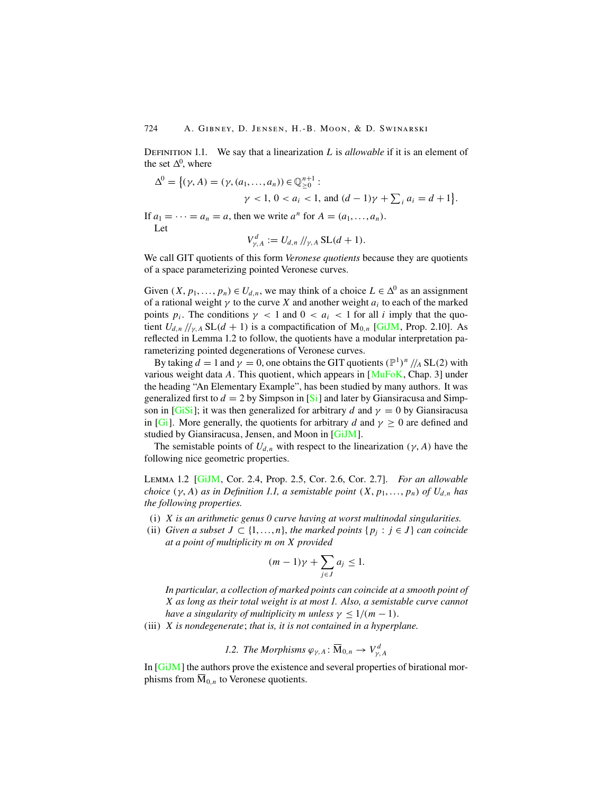DEFINITION 1.1. We say that a linearization L is *allowable* if it is an element of the set  $\Delta^0$ , where

$$
\Delta^{0} = \{ (\gamma, A) = (\gamma, (a_1, ..., a_n)) \in \mathbb{Q}_{\geq 0}^{n+1} : \gamma < 1, 0 < a_i < 1, \text{ and } (d-1)\gamma + \sum_i a_i = d+1 \}
$$

.

If  $a_1 = \cdots = a_n = a$ , then we write  $a^n$  for  $A = (a_1, \ldots, a_n)$ . Let

$$
V_{\gamma,A}^d := U_{d,n} / \mathcal{V}_{\gamma,A} \operatorname{SL}(d+1).
$$

We call GIT quotients of this form *Veronese quotients* because they are quotients of a space parameterizing pointed Veronese curves.

Given  $(X, p_1, \ldots, p_n) \in U_{d,n}$ , we may think of a choice  $L \in \Delta^0$  as an assignment of a rational weight  $\gamma$  to the curve X and another weight  $a_i$  to each of the marked points  $p_i$ . The conditions  $\gamma$  < 1 and  $0 < a_i < 1$  for all i imply that the quotient  $U_{d,n}/\prime_{\gamma,A}$  SL( $d+1$ ) is a compactification of  $M_{0,n}$  [[GiJM](#page-29-0), Prop. 2.10]. As reflected in Lemma 1.2 to follow, the quotients have a modular interpretation parameterizing pointed degenerations of Veronese curves.

By taking  $d = 1$  and  $\gamma = 0$ , one obtains the GIT quotients  $(\mathbb{P}^1)^n / A SL(2)$  with various weight data A. This quotient, which appears in  $[MuFoK, Chap. 3]$  $[MuFoK, Chap. 3]$  $[MuFoK, Chap. 3]$  under the heading "An Elementary Example", has been studied by many authors. It was generalized first to  $d = 2$  by [Si](#page-30-0)mpson in [Si] and later by Giansiracusa and Simp-son in [\[GiSi](#page-29-0)]; it was then generalized for arbitrary d and  $\gamma = 0$  by Giansiracusa in [[Gi](#page-29-0)]. More generally, the quotients for arbitrary d and  $\gamma > 0$  are defined and studied by Giansiracusa, Jensen, and Moon in [\[GiJM](#page-29-0)].

The semistable points of  $U_{d,n}$  with respect to the linearization ( $\gamma$ , A) have the following nice geometric properties.

Lemma 1.2 [[GiJM](#page-29-0), Cor. 2.4, Prop. 2.5, Cor. 2.6, Cor. 2.7]. *For an allowable choice*  $(\gamma, A)$  *as in Definition 1.1, a semistable point*  $(X, p_1, \ldots, p_n)$  *of*  $U_{d,n}$  *has the following properties.*

- (i) X *is an arithmetic genus 0 curve having at worst multinodal singularities.*
- (ii) *Given a subset*  $J \subset \{1, ..., n\}$ , *the marked points*  $\{p_i : j \in J\}$  *can coincide at a point of multiplicity* m *on* X *provided*

$$
(m-1)\gamma + \sum_{j \in J} a_j \le 1.
$$

*In particular, a collection of marked points can coincide at a smooth point of* X *as long as their total weight is at most 1. Also, a semistable curve cannot have a singularity of multiplicity* m *unless*  $\gamma \leq 1/(m-1)$ .

(iii) X *is nondegenerate*; *that is, it is not contained in a hyperplane.*

1.2. The Morphisms 
$$
\varphi_{\gamma,A} \colon \overline{M}_{0,n} \to V_{\gamma,A}^d
$$

In [[GiJM](#page-29-0)] the authors prove the existence and several properties of birational morphisms from  $\overline{M}_{0,n}$  to Veronese quotients.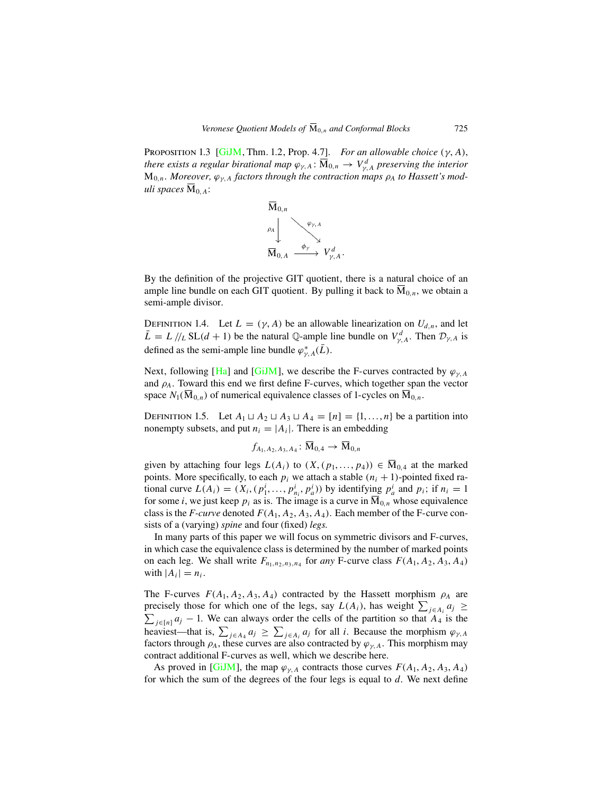Proposition 1.3 [\[GiJM](#page-29-0), Thm. 1.2, Prop. 4.7]. *For an allowable choice* (γ, A), *there exists a regular birational map*  $\varphi_{\gamma,A} \colon \overline{M}_{0,n} \to V^d_{\gamma,A}$  *preserving the interior*  $M_{0,n}$ . *Moreover,*  $\varphi_{v,A}$  factors through the contraction maps  $\rho_A$  to Hassett's mod*uli spaces*  $\overline{M}_{0.A}$ :



By the definition of the projective GIT quotient, there is a natural choice of an ample line bundle on each GIT quotient. By pulling it back to  $\overline{M}_{0,n}$ , we obtain a semi-ample divisor.

DEFINITION 1.4. Let  $L = (\gamma, A)$  be an allowable linearization on  $U_{d,n}$ , and let  $\bar{L} = L / \sqrt{L} SL(d+1)$  be the natural Q-ample line bundle on  $V_{\gamma,A}^d$ . Then  $\mathcal{D}_{\gamma,A}$  is defined as the semi-ample line bundle  $\varphi_{\gamma,A}^*(\bar{L})$ .

Next, following [[Ha\]](#page-29-0) and [[GiJM](#page-29-0)], we describe the F-curves contracted by  $\varphi_{\gamma,A}$ and  $\rho_A$ . Toward this end we first define F-curves, which together span the vector space  $N_1(\overline{M}_{0,n})$  of numerical equivalence classes of 1-cycles on  $\overline{M}_{0,n}$ .

DEFINITION 1.5. Let  $A_1 \sqcup A_2 \sqcup A_3 \sqcup A_4 = [n] = \{1, ..., n\}$  be a partition into nonempty subsets, and put  $n_i = |A_i|$ . There is an embedding

$$
f_{A_1,A_2,A_3,A_4}\colon \overline{\mathbf{M}}_{0,4}\to \overline{\mathbf{M}}_{0,n}
$$

given by attaching four legs  $L(A_i)$  to  $(X, (p_1, \ldots, p_4)) \in \overline{\mathbf{M}}_{0,4}$  at the marked points. More specifically, to each  $p_i$  we attach a stable  $(n_i + 1)$ -pointed fixed rational curve  $L(A_i) = (X_i, (p_1^i, \dots, p_{n_i}^i, p_a^i))$  by identifying  $p_a^i$  and  $p_i$ ; if  $n_i = 1$ for some *i*, we just keep  $p_i$  as is. The image is a curve in  $M_{0,n}$  whose equivalence class is the *F-curve* denoted  $F(A_1, A_2, A_3, A_4)$ . Each member of the *F-curve* consists of a (varying) *spine* and four (fixed) *legs.*

In many parts of this paper we will focus on symmetric divisors and F-curves, in which case the equivalence class is determined by the number of marked points on each leg. We shall write  $F_{n_1,n_2,n_3,n_4}$  for *any* F-curve class  $F(A_1, A_2, A_3, A_4)$ with  $|A_i| = n_i$ .

The F-curves  $F(A_1, A_2, A_3, A_4)$  contracted by the Hassett morphism  $\rho_A$  are precisely those for which one of the legs, say  $L(A_i)$ , has weight  $\sum_{j \in A_i} a_j \geq$  $\sum_{j\in[n]} a_j - 1$ . We can always order the cells of the partition so that  $A_4$  is the heaviest—that is,  $\sum_{j \in A_4} a_j \ge \sum_{j \in A_i} a_j$  for all *i*. Because the morphism  $\varphi_{\gamma, A}$ factors through  $\rho_A$ , these curves are also contracted by  $\varphi_{\gamma,A}$ . This morphism may contract additional F-curves as well, which we describe here.

As proved in [\[GiJM](#page-29-0)], the map  $\varphi_{\gamma,A}$  contracts those curves  $F(A_1, A_2, A_3, A_4)$ for which the sum of the degrees of the four legs is equal to  $d$ . We next define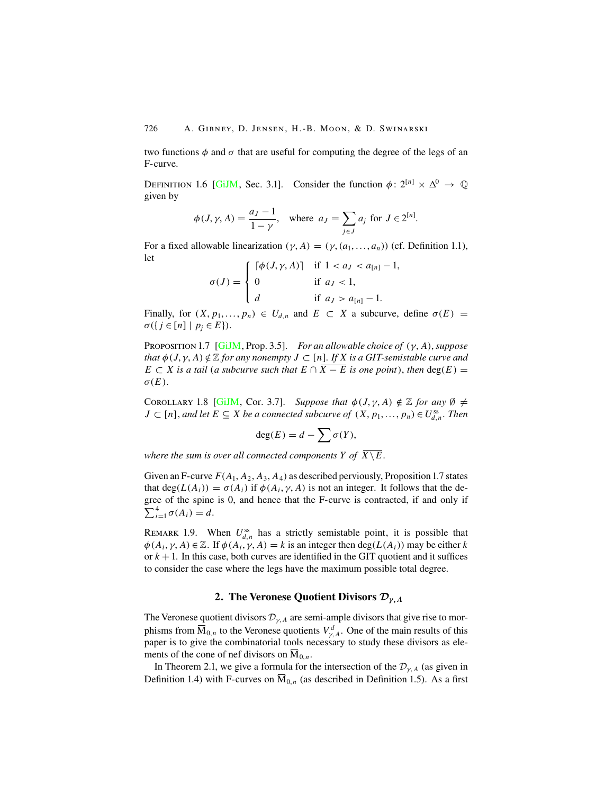two functions  $\phi$  and  $\sigma$  that are useful for computing the degree of the legs of an F-curve.

DEFINITION 1.6 [\[GiJM](#page-29-0), Sec. 3.1]. Consider the function  $\phi: 2^{[n]} \times \Delta^0 \to \mathbb{O}$ given by

$$
\phi(J, \gamma, A) = \frac{a_J - 1}{1 - \gamma}, \quad \text{where } a_J = \sum_{j \in J} a_j \text{ for } J \in 2^{[n]}
$$

.

For a fixed allowable linearization  $(\gamma, A) = (\gamma, (a_1, \ldots, a_n))$  (cf. Definition 1.1), let

$$
\sigma(J) = \begin{cases}\n\lceil \phi(J, \gamma, A) \rceil & \text{if } 1 < a_J < a_{[n]} - 1, \\
0 & \text{if } a_J < 1, \\
d & \text{if } a_J > a_{[n]} - 1.\n\end{cases}
$$

Finally, for  $(X, p_1, \ldots, p_n) \in U_{d,n}$  and  $E \subset X$  a subcurve, define  $\sigma(E) =$  $\sigma({j \in [n] \mid p_j \in E}).$ 

Proposition1.7 [[GiJM](#page-29-0), Prop. 3.5]. *For an allowable choice of* (γ, A), *suppose that*  $\phi$  (*J*,  $\gamma$ , *A*)  $\notin \mathbb{Z}$  *for any nonempty J*  $\subset$  [n]. *If X is a GIT-semistable curve and*  $E \subset X$  *is a tail* (*a subcurve such that*  $E \cap \overline{X - E}$  *is one point*), *then* deg(*E*) =  $\sigma(E)$ .

COROLLARY 1.8 [[GiJM](#page-29-0), Cor. 3.7]. *Suppose that*  $\phi(J, \gamma, A) \notin \mathbb{Z}$  *for any*  $\emptyset \neq$  $J \subset [n]$ , and let  $E \subseteq X$  be a connected subcurve of  $(X, p_1, ..., p_n) \in U_{d,n}^{ss}$ . Then

$$
\deg(E) = d - \sum \sigma(Y),
$$

*where the sum is over all connected components Y of*  $\overline{X \setminus E}$ .

Given an F-curve  $F(A_1, A_2, A_3, A_4)$  as described perviously, Proposition 1.7 states that deg( $L(A_i)$ ) =  $\sigma(A_i)$  if  $\phi(A_i, \gamma, A)$  is not an integer. It follows that the degree of the spine is 0, and hence that the F-curve is contracted, if and only if  $\sum_{i=1}^{4} \sigma(A_i) = d.$ 

REMARK 1.9. When  $U_{d,n}^{ss}$  has a strictly semistable point, it is possible that  $\phi(A_i, \gamma, A) \in \mathbb{Z}$ . If  $\phi(A_i, \gamma, A) = k$  is an integer then  $\deg(L(A_i))$  may be either k or  $k + 1$ . In this case, both curves are identified in the GIT quotient and it suffices to consider the case where the legs have the maximum possible total degree.

# **2. The Veronese Quotient Divisors** *Dγ,<sup>A</sup>*

The Veronese quotient divisors  $\mathcal{D}_{\gamma,A}$  are semi-ample divisors that give rise to morphisms from  $\overline{M}_{0,n}$  to the Veronese quotients  $V_{\gamma,A}^d$ . One of the main results of this paper is to give the combinatorial tools necessary to study these divisors as elements of the cone of nef divisors on  $M_{0,n}$ .

In Theorem 2.1, we give a formula for the intersection of the  $\mathcal{D}_{\gamma,A}$  (as given in Definition 1.4) with F-curves on  $\overline{M}_{0,n}$  (as described in Definition 1.5). As a first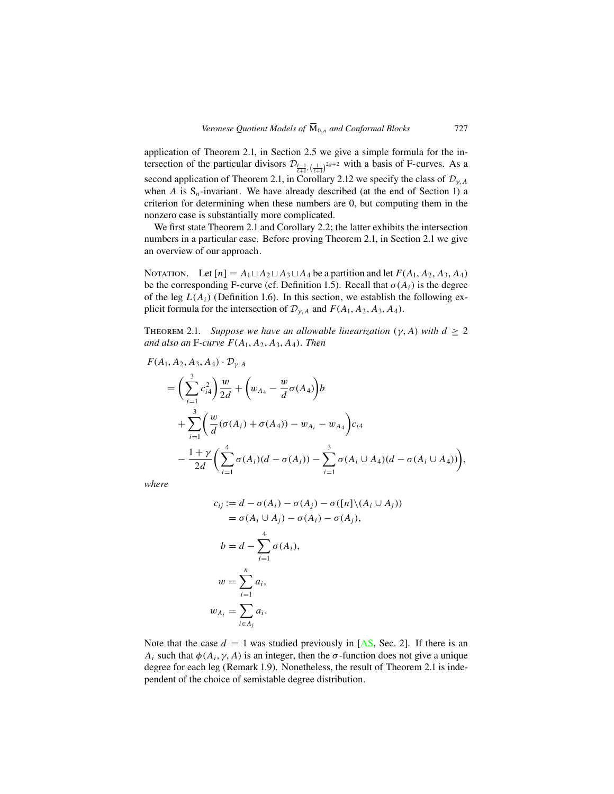application of Theorem 2.1, in Section 2.5 we give a simple formula for the intersection of the particular divisors  $\mathcal{D}_{\frac{\ell-1}{\ell+1},\left(\frac{1}{\ell+1}\right)^{2g+2}}$  with a basis of F-curves. As a second application of Theorem 2.1, in Corollary 2.12 we specify the class of  $\mathcal{D}_{\gamma,A}$ when A is  $S_n$ -invariant. We have already described (at the end of Section 1) a criterion for determining when these numbers are 0, but computing them in the nonzero case is substantially more complicated.

We first state Theorem 2.1 and Corollary 2.2; the latter exhibits the intersection numbers in a particular case. Before proving Theorem 2.1, in Section 2.1 we give an overview of our approach.

NOTATION. Let  $[n] = A_1 \sqcup A_2 \sqcup A_3 \sqcup A_4$  be a partition and let  $F(A_1, A_2, A_3, A_4)$ be the corresponding F-curve (cf. Definition 1.5). Recall that  $\sigma(A_i)$  is the degree of the leg  $L(A_i)$  (Definition 1.6). In this section, we establish the following explicit formula for the intersection of  $\mathcal{D}_{\nu,A}$  and  $F(A_1, A_2, A_3, A_4)$ .

THEOREM 2.1. *Suppose we have an allowable linearization*  $(\gamma, A)$  *with*  $d > 2$ and also an F-curve  $F(A_1, A_2, A_3, A_4)$ . Then

$$
F(A_1, A_2, A_3, A_4) \cdot \mathcal{D}_{\gamma, A}
$$
  
=  $\left(\sum_{i=1}^3 c_{i4}^2\right) \frac{w}{2d} + \left(w_{A_4} - \frac{w}{d} \sigma(A_4)\right) b$   
+  $\sum_{i=1}^3 \left(\frac{w}{d} (\sigma(A_i) + \sigma(A_4)) - w_{A_i} - w_{A_4}\right) c_{i4}$   
-  $\frac{1+\gamma}{2d} \left(\sum_{i=1}^4 \sigma(A_i) (d - \sigma(A_i)) - \sum_{i=1}^3 \sigma(A_i \cup A_4) (d - \sigma(A_i \cup A_4))\right),$ 

*where*

$$
c_{ij} := d - \sigma(A_i) - \sigma(A_j) - \sigma([n] \setminus (A_i \cup A_j))
$$
  
=  $\sigma(A_i \cup A_j) - \sigma(A_i) - \sigma(A_j),$   

$$
b = d - \sum_{i=1}^4 \sigma(A_i),
$$
  

$$
w = \sum_{i=1}^n a_i,
$$
  

$$
w_{A_j} = \sum_{i \in A_j} a_i.
$$

Note that the case  $d = 1$  was studied previously in [[AS](#page-29-0), Sec. 2]. If there is an  $A_i$  such that  $\phi(A_i, \gamma, A)$  is an integer, then the  $\sigma$ -function does not give a unique degree for each leg (Remark 1.9). Nonetheless, the result of Theorem 2.1 is independent of the choice of semistable degree distribution.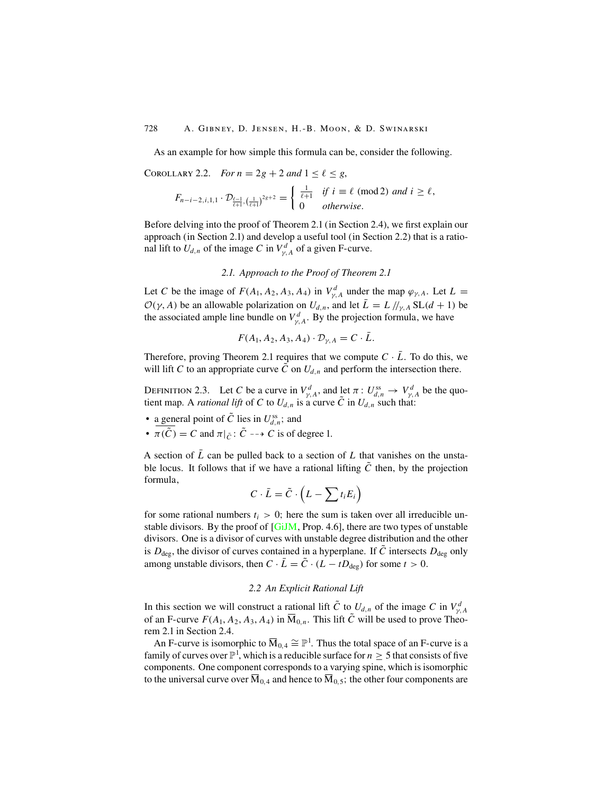As an example for how simple this formula can be, consider the following.

# COROLLARY 2.2. *For*  $n = 2g + 2$  and  $1 \le \ell \le g$ ,

$$
F_{n-i-2,i,1,1} \cdot \mathcal{D}_{\frac{\ell-1}{\ell+1},\left(\frac{1}{\ell+1}\right)^{2g+2}} = \begin{cases} \frac{1}{\ell+1} & \text{if } i \equiv \ell \pmod{2} \text{ and } i \geq \ell, \\ 0 & \text{otherwise.} \end{cases}
$$

Before delving into the proof of Theorem 2.1 (in Section 2.4), we first explain our approach (in Section 2.1) and develop a useful tool (in Section 2.2) that is a rational lift to  $U_{d,n}$  of the image C in  $V_{\gamma,A}^d$  of a given F-curve.

## *2.1. Approach to the Proof of Theorem 2.1*

Let C be the image of  $F(A_1, A_2, A_3, A_4)$  in  $V_{\gamma, A}^d$  under the map  $\varphi_{\gamma, A}$ . Let  $L =$  $\mathcal{O}(\gamma, A)$  be an allowable polarization on  $U_{d,n}$ , and let  $\bar{L} = L / /_{\gamma, A} SL(d + 1)$  be the associated ample line bundle on  $V_{\gamma,A}^d$ . By the projection formula, we have

$$
F(A_1, A_2, A_3, A_4) \cdot \mathcal{D}_{\gamma, A} = C \cdot \bar{L}.
$$

Therefore, proving Theorem 2.1 requires that we compute  $C \cdot \bar{L}$ . To do this, we will lift C to an appropriate curve  $\tilde{C}$  on  $U_{d,n}$  and perform the intersection there.

DEFINITION 2.3. Let C be a curve in  $V_{\gamma,A}^d$ , and let  $\pi: U_{d,n}^{ss} \to V_{\gamma,A}^d$  be the quotient map. A *rational lift* of C to  $U_{d,n}$  is a curve  $\tilde{C}$  in  $U_{d,n}$  such that:

- a general point of  $\tilde{C}$  lies in  $U_{d,n}^{ss}$ ; and
- $\pi(\tilde{C}) = C$  and  $\pi|_{\tilde{C}} : \tilde{C} \dashrightarrow C$  is of degree 1.

A section of  $\overline{L}$  can be pulled back to a section of  $L$  that vanishes on the unstable locus. It follows that if we have a rational lifting  $\tilde{C}$  then, by the projection formula,

$$
C \cdot \bar{L} = \tilde{C} \cdot \left( L - \sum t_i E_i \right)
$$

for some rational numbers  $t_i > 0$ ; here the sum is taken over all irreducible un-stable divisors. By the proof of [[GiJM](#page-29-0), Prop. 4.6], there are two types of unstable divisors. One is a divisor of curves with unstable degree distribution and the other is  $D_{\text{deg}}$ , the divisor of curves contained in a hyperplane. If  $\tilde{C}$  intersects  $D_{\text{deg}}$  only among unstable divisors, then  $C \cdot \overline{L} = \tilde{C} \cdot (L - tD_{\text{deg}})$  for some  $t > 0$ .

#### *2.2 An Explicit Rational Lift*

In this section we will construct a rational lift  $\tilde{C}$  to  $U_{d,n}$  of the image C in  $V_{\gamma,A}^d$ of an F-curve  $F(A_1, A_2, A_3, A_4)$  in  $\overline{M}_{0,n}$ . This lift  $\tilde{C}$  will be used to prove Theorem 2.1 in Section 2.4.

An F-curve is isomorphic to  $\overline{M}_{0,4} \cong \mathbb{P}^1$ . Thus the total space of an F-curve is a family of curves over  $\mathbb{P}^1$ , which is a reducible surface for  $n\geq 5$  that consists of five components. One component corresponds to a varying spine, which is isomorphic to the universal curve over  $\overline{M}_{0,4}$  and hence to  $\overline{M}_{0,5}$ ; the other four components are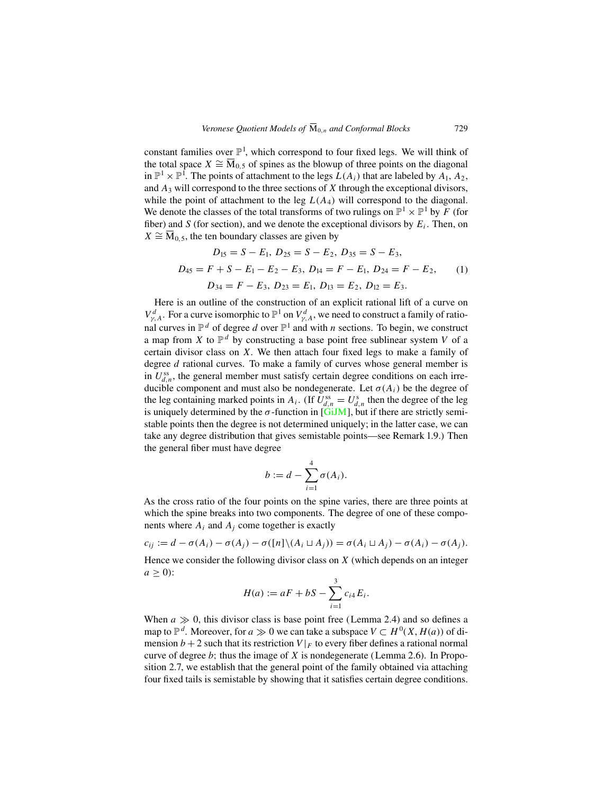constant families over  $\mathbb{P}^1$ , which correspond to four fixed legs. We will think of the total space  $X \cong \overline{M}_{0.5}$  of spines as the blowup of three points on the diagonal in  $\mathbb{P}^1 \times \mathbb{P}^1$ . The points of attachment to the legs  $L(A_i)$  that are labeled by  $A_1, A_2$ , and  $A_3$  will correspond to the three sections of X through the exceptional divisors, while the point of attachment to the leg  $L(A_4)$  will correspond to the diagonal. We denote the classes of the total transforms of two rulings on  $\mathbb{P}^1 \times \mathbb{P}^1$  by F (for fiber) and S (for section), and we denote the exceptional divisors by  $E_i$ . Then, on  $X \cong \overline{M}_{0.5}$ , the ten boundary classes are given by

$$
D_{15} = S - E_1, D_{25} = S - E_2, D_{35} = S - E_3,
$$
  
\n
$$
D_{45} = F + S - E_1 - E_2 - E_3, D_{14} = F - E_1, D_{24} = F - E_2,
$$
  
\n
$$
D_{34} = F - E_3, D_{23} = E_1, D_{13} = E_2, D_{12} = E_3.
$$
  
\n(1)

Here is an outline of the construction of an explicit rational lift of a curve on  $V_{\gamma,A}^d$ . For a curve isomorphic to  $\mathbb{P}^1$  on  $V_{\gamma,A}^d$ , we need to construct a family of rational curves in  $\mathbb{P}^d$  of degree d over  $\mathbb{P}^1$  and with n sections. To begin, we construct a map from X to  $\mathbb{P}^d$  by constructing a base point free sublinear system V of a certain divisor class on  $X$ . We then attach four fixed legs to make a family of degree d rational curves. To make a family of curves whose general member is in  $U_{d,n}^{ss}$ , the general member must satisfy certain degree conditions on each irreducible component and must also be nondegenerate. Let  $\sigma(A_i)$  be the degree of the leg containing marked points in  $A_i$ . (If  $U_{d,n}^{ss} = U_{d,n}^s$  then the degree of the leg is uniquely determined by the  $\sigma$ -function in [\[GiJM](#page-29-0)], but if there are strictly semistable points then the degree is not determined uniquely; in the latter case, we can take any degree distribution that gives semistable points—see Remark 1.9.) Then the general fiber must have degree

$$
b := d - \sum_{i=1}^4 \sigma(A_i).
$$

As the cross ratio of the four points on the spine varies, there are three points at which the spine breaks into two components. The degree of one of these components where  $A_i$  and  $A_j$  come together is exactly

$$
c_{ij} := d - \sigma(A_i) - \sigma(A_j) - \sigma([n] \setminus (A_i \sqcup A_j)) = \sigma(A_i \sqcup A_j) - \sigma(A_i) - \sigma(A_j).
$$

Hence we consider the following divisor class on  $X$  (which depends on an integer  $a \geq 0$ :

$$
H(a) := aF + bS - \sum_{i=1}^{3} c_{i4} E_i.
$$

When  $a \gg 0$ , this divisor class is base point free (Lemma 2.4) and so defines a map to  $\mathbb{P}^d$ . Moreover, for  $a \gg 0$  we can take a subspace  $V \subset H^0(X, H(a))$  of dimension  $b + 2$  such that its restriction  $V|_F$  to every fiber defines a rational normal curve of degree  $b$ ; thus the image of  $X$  is nondegenerate (Lemma 2.6). In Proposition 2.7, we establish that the general point of the family obtained via attaching four fixed tails is semistable by showing that it satisfies certain degree conditions.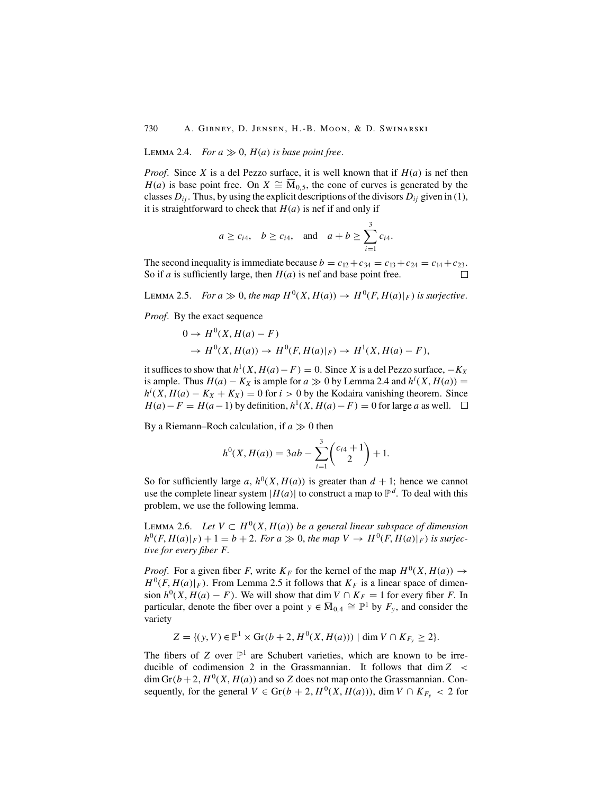LEMMA 2.4. *For*  $a \gg 0$ ,  $H(a)$  *is base point free.* 

*Proof.* Since X is a del Pezzo surface, it is well known that if  $H(a)$  is nef then  $H(a)$  is base point free. On  $X \cong \overline{M}_{0.5}$ , the cone of curves is generated by the classes  $D_{ii}$ . Thus, by using the explicit descriptions of the divisors  $D_{ii}$  given in (1), it is straightforward to check that  $H(a)$  is nef if and only if

$$
a \ge c_{i4}
$$
,  $b \ge c_{i4}$ , and  $a + b \ge \sum_{i=1}^{3} c_{i4}$ .

The second inequality is immediate because  $b = c_{12} + c_{34} = c_{13} + c_{24} = c_{14} + c_{23}$ . So if *a* is sufficiently large, then  $H(a)$  is nef and base point free.  $\Box$ 

LEMMA 2.5. *For*  $a \gg 0$ , the map  $H^0(X, H(a)) \to H^0(F, H(a)|_F)$  is surjective.

*Proof.* By the exact sequence

$$
0 \to H^0(X, H(a) - F)
$$
  
\n
$$
\to H^0(X, H(a)) \to H^0(F, H(a)|_F) \to H^1(X, H(a) - F),
$$

it suffices to show that  $h^1(X, H(a) - F) = 0$ . Since X is a del Pezzo surface,  $-K_X$ is ample. Thus  $H(a) - K_X$  is ample for  $a \gg 0$  by Lemma 2.4 and  $h^i(X, H(a)) =$  $h^{i}(X, H(a) - K_X + K_X) = 0$  for  $i > 0$  by the Kodaira vanishing theorem. Since  $H(a) - F = H(a-1)$  by definition,  $h^1(X, H(a) - F) = 0$  for large a as well.

By a Riemann–Roch calculation, if  $a \gg 0$  then

$$
h^{0}(X, H(a)) = 3ab - \sum_{i=1}^{3} {c_{i4} + 1 \choose 2} + 1.
$$

So for sufficiently large a,  $h^0(X, H(a))$  is greater than  $d + 1$ ; hence we cannot use the complete linear system  $|H(a)|$  to construct a map to  $\mathbb{P}^d$ . To deal with this problem, we use the following lemma.

LEMMA 2.6. Let  $V \subset H^0(X, H(a))$  be a general linear subspace of dimension  $h^0(F, H(a)|_F) + 1 = b + 2$ . For  $a \gg 0$ , the map  $V \to H^0(F, H(a)|_F)$  is surjec*tive for every fiber* F.

*Proof.* For a given fiber F, write  $K_F$  for the kernel of the map  $H^0(X, H(a)) \to$  $H^0(F, H(a)|_F)$ . From Lemma 2.5 it follows that  $K_F$  is a linear space of dimension  $h^0(X, H(a) - F)$ . We will show that dim  $V \cap K_F = 1$  for every fiber F. In particular, denote the fiber over a point  $y \in \overline{M}_{0,4} \cong \mathbb{P}^1$  by  $F_y$ , and consider the variety

$$
Z = \{(y, V) \in \mathbb{P}^1 \times \text{Gr}(b + 2, H^0(X, H(a))) \mid \dim V \cap K_{F_y} \ge 2\}.
$$

The fibers of Z over  $\mathbb{P}^1$  are Schubert varieties, which are known to be irreducible of codimension 2 in the Grassmannian. It follows that  $\dim Z <$ dim Gr( $b+2$ ,  $H^0(X, H(a))$  and so Z does not map onto the Grassmannian. Consequently, for the general  $V \in \text{Gr}(b + 2, H^0(X, H(a)))$ , dim  $V \cap K_{F_y} < 2$  for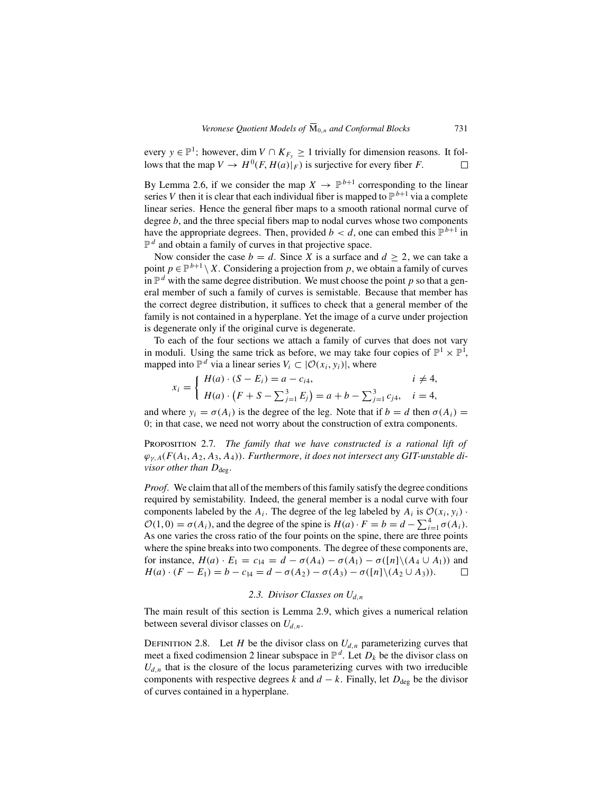every  $y \in \mathbb{P}^1$ ; however, dim  $V \cap K_{F_v} \ge 1$  trivially for dimension reasons. It follows that the map  $V \to H^0(F, H(a)|_F)$  is surjective for every fiber F.  $\Box$ 

By Lemma 2.6, if we consider the map  $X \to \mathbb{P}^{b+1}$  corresponding to the linear series V then it is clear that each individual fiber is mapped to  $\mathbb{P}^{b+1}$  via a complete linear series. Hence the general fiber maps to a smooth rational normal curve of degree b, and the three special fibers map to nodal curves whose two components have the appropriate degrees. Then, provided  $b < d$ , one can embed this  $\mathbb{P}^{b+1}$  in  $\mathbb{P}^d$  and obtain a family of curves in that projective space.

Now consider the case  $b = d$ . Since X is a surface and  $d > 2$ , we can take a point  $p \in \mathbb{P}^{b+1} \setminus X$ . Considering a projection from p, we obtain a family of curves in  $\mathbb{P}^d$  with the same degree distribution. We must choose the point p so that a general member of such a family of curves is semistable. Because that member has the correct degree distribution, it suffices to check that a general member of the family is not contained in a hyperplane. Yet the image of a curve under projection is degenerate only if the original curve is degenerate.

To each of the four sections we attach a family of curves that does not vary in moduli. Using the same trick as before, we may take four copies of  $\mathbb{P}^1 \times \mathbb{P}^1$ , mapped into  $\mathbb{P}^d$  via a linear series  $V_i \subset |\mathcal{O}(x_i, y_i)|$ , where

$$
x_i = \begin{cases} H(a) \cdot (S - E_i) = a - c_{i4}, & i \neq 4, \\ H(a) \cdot (F + S - \sum_{j=1}^3 E_j) = a + b - \sum_{j=1}^3 c_{j4}, & i = 4, \end{cases}
$$

and where  $y_i = \sigma(A_i)$  is the degree of the leg. Note that if  $b = d$  then  $\sigma(A_i) =$ 0; in that case, we need not worry about the construction of extra components.

Proposition 2.7. *The family that we have constructed is a rational lift of*  $\varphi_{v,A}(F(A_1, A_2, A_3, A_4))$ . *Furthermore, it does not intersect any GIT-unstable divisor other than*  $D_{\text{deg}}$ .

*Proof.* We claim that all of the members of this family satisfy the degree conditions required by semistability. Indeed, the general member is a nodal curve with four components labeled by the  $A_i$ . The degree of the leg labeled by  $A_i$  is  $\mathcal{O}(x_i, y_i)$ .  $\mathcal{O}(1,0) = \sigma(A_i)$ , and the degree of the spine is  $H(a) \cdot F = b = d - \sum_{i=1}^{4} \sigma(A_i)$ . As one varies the cross ratio of the four points on the spine, there are three points where the spine breaks into two components. The degree of these components are, for instance,  $H(a) \cdot E_1 = c_{14} = d - \sigma(A_4) - \sigma(A_1) - \sigma([n] \setminus (A_4 \cup A_1))$  and  $H(a) \cdot (F - E_1) = b - c_{14} = d - \sigma(A_2) - \sigma(A_3) - \sigma([n] \setminus (A_2 \cup A_3)).$  $\Box$ 

## 2.3. Divisor Classes on  $U_{d,n}$

The main result of this section is Lemma 2.9, which gives a numerical relation between several divisor classes on  $U_{d,n}$ .

DEFINITION 2.8. Let H be the divisor class on  $U_{d,n}$  parameterizing curves that meet a fixed codimension 2 linear subspace in  $\mathbb{P}^d$ . Let  $D_k$  be the divisor class on  $U_{d,n}$  that is the closure of the locus parameterizing curves with two irreducible components with respective degrees k and  $d - k$ . Finally, let  $D_{\text{des}}$  be the divisor of curves contained in a hyperplane.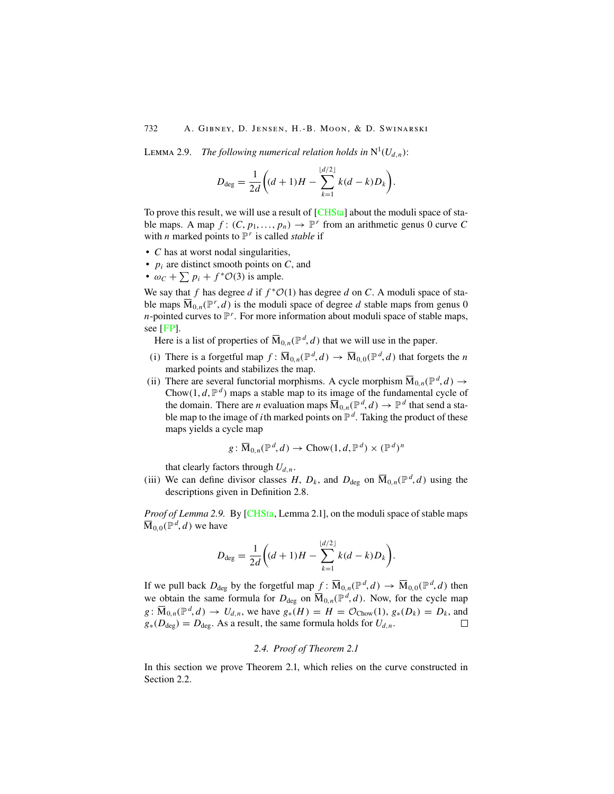LEMMA 2.9. *The following numerical relation holds in*  $N^1(U_{d,n})$ :

$$
D_{\text{deg}} = \frac{1}{2d} \bigg( (d+1)H - \sum_{k=1}^{\lfloor d/2 \rfloor} k(d-k)D_k \bigg).
$$

To prove this result, we will use a result of [[CHSta](#page-29-0)] about the moduli space of stable maps. A map  $f: (C, p_1, \ldots, p_n) \to \mathbb{P}^r$  from an arithmetic genus 0 curve C with *n* marked points to  $\mathbb{P}^r$  is called *stable* if

- C has at worst nodal singularities,
- $p_i$  are distinct smooth points on C, and
- $\omega_c + \sum p_i + f^* \mathcal{O}(3)$  is ample.

We say that f has degree d if  $f^*O(1)$  has degree d on C. A moduli space of stable maps  $\overline{M}_{0,n}(\mathbb{P}^r,d)$  is the moduli space of degree d stable maps from genus 0 *n*-pointed curves to  $\mathbb{P}^r$ . For more information about moduli space of stable maps, see [[FP\]](#page-29-0).

Here is a list of properties of  $\overline{M}_{0,n}(\mathbb{P}^d, d)$  that we will use in the paper.

- (i) There is a forgetful map  $f: \overline{M}_{0,n}(\mathbb{P}^d, d) \to \overline{M}_{0,0}(\mathbb{P}^d, d)$  that forgets the *n* marked points and stabilizes the map.
- (ii) There are several functorial morphisms. A cycle morphism  $\overline{M}_{0,n}(\mathbb{P}^d, d) \to$ Chow(1,  $d$ ,  $\mathbb{P}^d$ ) maps a stable map to its image of the fundamental cycle of the domain. There are *n* evaluation maps  $\overline{M}_{0,n}(\mathbb{P}^d, d) \to \mathbb{P}^d$  that send a stable map to the image of *i*th marked points on  $\mathbb{P}^d$ . Taking the product of these maps yields a cycle map

$$
g: \overline{\mathbf{M}}_{0,n}(\mathbb{P}^d, d) \to \mathbf{Chow}(1, d, \mathbb{P}^d) \times (\mathbb{P}^d)^n
$$

that clearly factors through  $U_{d,n}$ .

(iii) We can define divisor classes H,  $D_k$ , and  $D_{\text{deg}}$  on  $\overline{M}_{0,n}(\mathbb{P}^d, d)$  using the descriptions given in Definition 2.8.

*Proof of Lemma 2.9.* By [\[CHSta](#page-29-0), Lemma 2.1], on the moduli space of stable maps  $\overline{\mathrm{M}}_{0,0}(\mathbb{P}^d, d)$  we have

$$
D_{\text{deg}} = \frac{1}{2d} \bigg( (d+1)H - \sum_{k=1}^{\lfloor d/2 \rfloor} k(d-k)D_k \bigg).
$$

If we pull back  $D_{deg}$  by the forgetful map  $f: \overline{M}_{0,n}(\mathbb{P}^d, d) \to \overline{M}_{0,0}(\mathbb{P}^d, d)$  then we obtain the same formula for  $D_{\text{deg}}$  on  $\overline{M}_{0,n}(\mathbb{P}^d, d)$ . Now, for the cycle map  $g: \overline{M}_{0,n}(\mathbb{P}^d, d) \to U_{d,n}$ , we have  $g_*(H) = H = \mathcal{O}_{\text{Chow}}(1), g_*(D_k) = D_k$ , and  $g_*(D_{\text{deg}}) = D_{\text{deg}}$ . As a result, the same formula holds for  $U_{d,n}$ .

### *2.4. Proof of Theorem 2.1*

In this section we prove Theorem 2.1, which relies on the curve constructed in Section 2.2.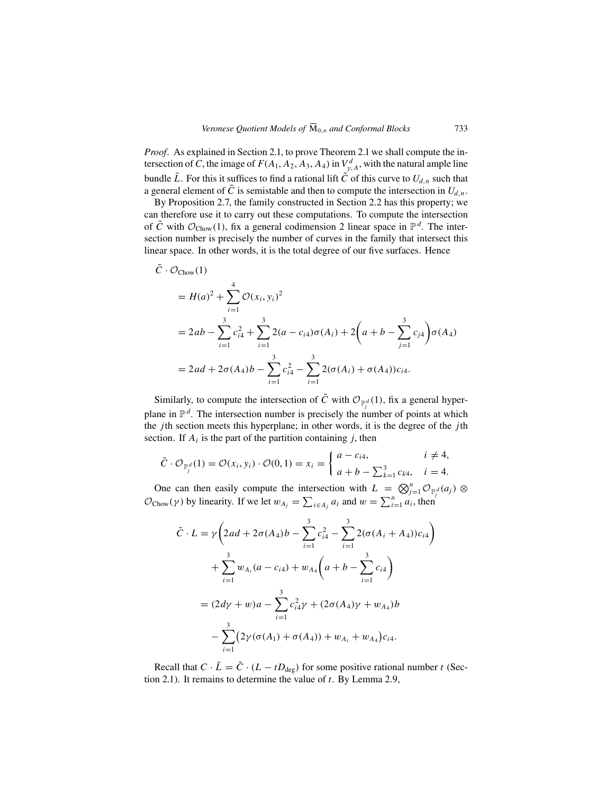*Proof.* As explained in Section 2.1, to prove Theorem 2.1 we shall compute the intersection of C, the image of  $F(A_1, A_2, A_3, A_4)$  in  $V_{\gamma,A}^d$ , with the natural ample line bundle  $\bar{L}$ . For this it suffices to find a rational lift  $\tilde{C}$  of this curve to  $U_{d,n}$  such that a general element of  $\tilde{C}$  is semistable and then to compute the intersection in  $U_{d,n}$ .

By Proposition 2.7, the family constructed in Section 2.2 has this property; we can therefore use it to carry out these computations. To compute the intersection of C with  $\mathcal{O}_{\text{Chow}}(1)$ , fix a general codimension 2 linear space in  $\mathbb{P}^d$ . The intersection number is precisely the number of curves in the family that intersect this linear space. In other words, it is the total degree of our five surfaces. Hence

$$
\tilde{C} \cdot \mathcal{O}_{\text{Chow}}(1)
$$
\n
$$
= H(a)^2 + \sum_{i=1}^4 \mathcal{O}(x_i, y_i)^2
$$
\n
$$
= 2ab - \sum_{i=1}^3 c_{i4}^2 + \sum_{i=1}^3 2(a - c_{i4})\sigma(A_i) + 2\left(a + b - \sum_{j=1}^3 c_{j4}\right)\sigma(A_4)
$$
\n
$$
= 2ad + 2\sigma(A_4)b - \sum_{i=1}^3 c_{i4}^2 - \sum_{i=1}^3 2(\sigma(A_i) + \sigma(A_4))c_{i4}.
$$

Similarly, to compute the intersection of  $\tilde{C}$  with  $\mathcal{O}_{\mathbb{P}^d} (1)$ , fix a general hyperplane in  $\mathbb{P}^d$ . The intersection number is precisely the number of points at which the *j*th section meets this hyperplane; in other words, it is the degree of the *j*th section. If  $A_i$  is the part of the partition containing j, then

$$
\tilde{C} \cdot \mathcal{O}_{\mathbb{P}_j^d}(1) = \mathcal{O}(x_i, y_i) \cdot \mathcal{O}(0, 1) = x_i = \begin{cases} a - c_{i4}, & i \neq 4, \\ a + b - \sum_{k=1}^3 c_{k4}, & i = 4. \end{cases}
$$

One can then easily compute the intersection with  $L = \bigotimes_{j=1}^n \mathcal{O}_{\mathbb{P}_i^d}(a_j) \otimes$  $\mathcal{O}_{\text{Chow}}(\gamma)$  by linearity. If we let  $w_{A_j} = \sum_{i \in A_j} a_i$  and  $w = \sum_{i=1}^n a_i$ , then

$$
\tilde{C} \cdot L = \gamma \left( 2ad + 2\sigma(A_4)b - \sum_{i=1}^3 c_{i4}^2 - \sum_{i=1}^3 2(\sigma(A_i + A_4))c_{i4} \right)
$$
  
+ 
$$
\sum_{i=1}^3 w_{A_i}(a - c_{i4}) + w_{A_4}\left(a + b - \sum_{i=1}^3 c_{i4}\right)
$$
  
= 
$$
(2d\gamma + w)a - \sum_{i=1}^3 c_{i4}^2 \gamma + (2\sigma(A_4)\gamma + w_{A_4})b
$$
  
- 
$$
\sum_{i=1}^3 (2\gamma(\sigma(A_1) + \sigma(A_4)) + w_{A_i} + w_{A_4})c_{i4}.
$$

Recall that  $C \cdot \bar{L} = \tilde{C} \cdot (L - tD_{\text{deg}})$  for some positive rational number t (Section 2.1). It remains to determine the value of  $t$ . By Lemma 2.9,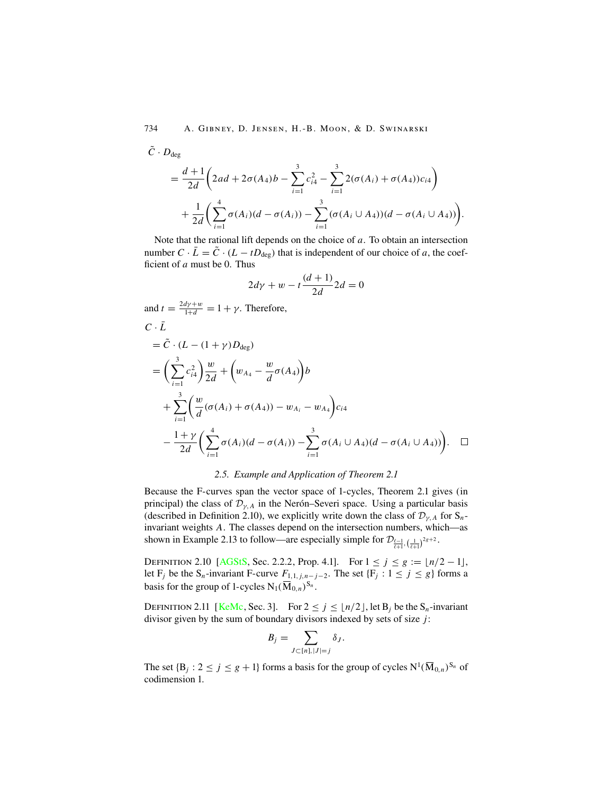$\tilde{C} \cdot D_{\text{dec}}$ 

$$
= \frac{d+1}{2d} \left( 2ad + 2\sigma(A_4)b - \sum_{i=1}^3 c_{i4}^2 - \sum_{i=1}^3 2(\sigma(A_i) + \sigma(A_4))c_{i4} \right) + \frac{1}{2d} \left( \sum_{i=1}^4 \sigma(A_i)(d - \sigma(A_i)) - \sum_{i=1}^3 (\sigma(A_i \cup A_4))(d - \sigma(A_i \cup A_4)) \right).
$$

Note that the rational lift depends on the choice of  $a$ . To obtain an intersection number  $C \cdot \overline{L} = \overline{\tilde{C}} \cdot (L - t \overline{D_{\text{deg}}})$  that is independent of our choice of a, the coefficient of  $a$  must be 0. Thus

$$
2d\gamma + w - t\frac{(d+1)}{2d}2d = 0
$$

and  $t = \frac{2d\gamma + w}{1+d} = 1 + \gamma$ . Therefore,  $C \cdot \bar{L}$ 

$$
= \tilde{C} \cdot (L - (1 + \gamma)D_{\text{deg}})
$$
  
\n
$$
= \left(\sum_{i=1}^{3} c_{i4}^{2}\right) \frac{w}{2d} + \left(w_{A_{4}} - \frac{w}{d}\sigma(A_{4})\right)b
$$
  
\n
$$
+ \sum_{i=1}^{3} \left(\frac{w}{d}(\sigma(A_{i}) + \sigma(A_{4})) - w_{A_{i}} - w_{A_{4}}\right)c_{i4}
$$
  
\n
$$
- \frac{1 + \gamma}{2d} \left(\sum_{i=1}^{4} \sigma(A_{i})(d - \sigma(A_{i})) - \sum_{i=1}^{3} \sigma(A_{i} \cup A_{4})(d - \sigma(A_{i} \cup A_{4}))\right).
$$

#### *2.5. Example and Application of Theorem 2.1*

Because the F-curves span the vector space of 1-cycles, Theorem 2.1 gives (in principal) the class of  $\mathcal{D}_{\gamma,A}$  in the Nerón–Severi space. Using a particular basis (described in Definition 2.10), we explicitly write down the class of  $\mathcal{D}_{\nu,A}$  for  $S_n$ invariant weights A. The classes depend on the intersection numbers, which—as shown in Example 2.13 to follow—are especially simple for  $\mathcal{D}_{\frac{\ell-1}{\ell+1},\left(\frac{1}{\ell+1}\right)^{2g+2}}$ .

DEFINITION 2.10 [[AGStS,](#page-29-0) Sec. 2.2.2, Prop. 4.1]. For  $1 \le j \le g := \lfloor n/2 - 1 \rfloor$ , let F<sub>j</sub> be the S<sub>n</sub>-invariant F-curve  $F_{1,1,j,n-j-2}$ . The set {F<sub>j</sub> : 1 ≤ j ≤ g} forms a basis for the group of 1-cycles  $N_1(\overline{M}_{0,n})^{S_n}$ .

DEFINITION 2.11 [[KeMc](#page-29-0), Sec. 3]. For  $2 \le j \le \lfloor n/2 \rfloor$ , let  $B_j$  be the  $S_n$ -invariant divisor given by the sum of boundary divisors indexed by sets of size  $j$ :

$$
B_j = \sum_{J \subset [n], |J|=j} \delta_J.
$$

The set  $\{B_j : 2 \le j \le g+1\}$  forms a basis for the group of cycles  $N^1(\overline{M}_{0,n})^{S_n}$  of codimension 1.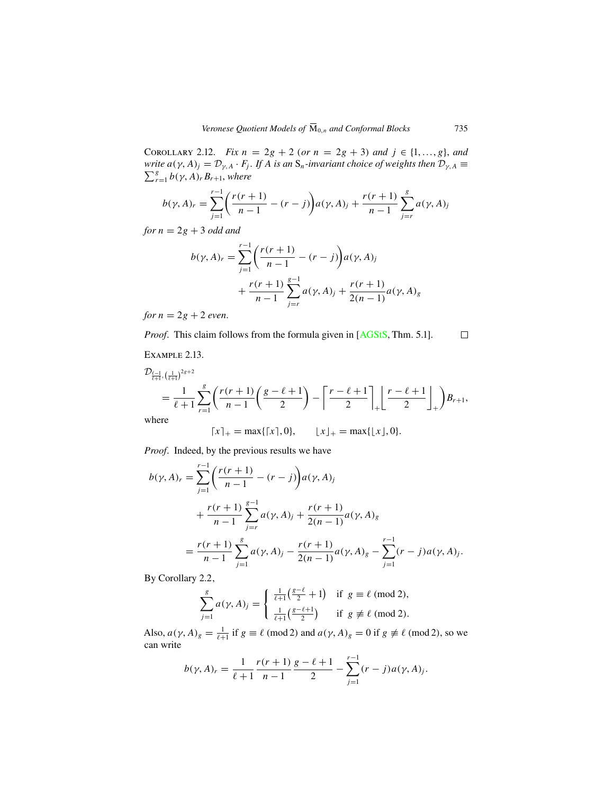COROLLARY 2.12. *Fix*  $n = 2g + 2$  (*or*  $n = 2g + 3$ ) *and*  $j \in \{1, ..., g\}$ , *and write*  $a(\gamma, A)_j = \mathcal{D}_{\gamma, A} \cdot F_j$ . *If* A *is an* S<sub>n</sub>-invariant choice of weights then  $\mathcal{D}_{\gamma, A} \equiv \sum_{j=1}^{g} b(\gamma, A_j) B_{\gamma}$ , where  $\sum_{r=1}^g b(\gamma, A)_r B_{r+1}$ , where

$$
b(\gamma, A)_r = \sum_{j=1}^{r-1} \left( \frac{r(r+1)}{n-1} - (r-j) \right) a(\gamma, A)_j + \frac{r(r+1)}{n-1} \sum_{j=r}^{g} a(\gamma, A)_j
$$

*for*  $n = 2g + 3$  *odd and* 

$$
b(\gamma, A)_r = \sum_{j=1}^{r-1} \left( \frac{r(r+1)}{n-1} - (r-j) \right) a(\gamma, A)_j
$$
  
+ 
$$
\frac{r(r+1)}{n-1} \sum_{j=r}^{g-1} a(\gamma, A)_j + \frac{r(r+1)}{2(n-1)} a(\gamma, A)_g
$$

*for*  $n = 2g + 2$  *even.* 

*Proof.* This claim follows from the formula given in [[AGStS,](#page-29-0) Thm. 5.1].

Example 2.13.

$$
\mathcal{D}_{\frac{\ell-1}{\ell+1},(\frac{1}{\ell+1})^{2g+2}} = \frac{1}{\ell+1} \sum_{r=1}^{g} \left( \frac{r(r+1)}{n-1} \left( \frac{g-\ell+1}{2} \right) - \left[ \frac{r-\ell+1}{2} \right]_+ \right) \frac{r-\ell+1}{2} \bigg|_{+} \right) B_{r+1},
$$
\nwhere

where

$$
[x]_+ = \max\{[x], 0\}, \qquad \lfloor x \rfloor_+ = \max\{\lfloor x \rfloor, 0\}.
$$

*Proof.* Indeed, by the previous results we have

$$
b(\gamma, A)_r = \sum_{j=1}^{r-1} \left( \frac{r(r+1)}{n-1} - (r-j) \right) a(\gamma, A)_j
$$
  
+ 
$$
\frac{r(r+1)}{n-1} \sum_{j=r}^{g-1} a(\gamma, A)_j + \frac{r(r+1)}{2(n-1)} a(\gamma, A)_g
$$
  
= 
$$
\frac{r(r+1)}{n-1} \sum_{j=1}^{g} a(\gamma, A)_j - \frac{r(r+1)}{2(n-1)} a(\gamma, A)_g - \sum_{j=1}^{r-1} (r-j) a(\gamma, A)_j.
$$

By Corollary 2.2,

$$
\sum_{j=1}^{g} a(\gamma, A)_j = \begin{cases} \frac{1}{\ell+1} \left( \frac{g-\ell}{2} + 1 \right) & \text{if } g \equiv \ell \pmod{2}, \\ \frac{1}{\ell+1} \left( \frac{g-\ell+1}{2} \right) & \text{if } g \not\equiv \ell \pmod{2}. \end{cases}
$$

Also,  $a(\gamma, A)_g = \frac{1}{\ell+1}$  if  $g \equiv \ell \pmod{2}$  and  $a(\gamma, A)_g = 0$  if  $g \not\equiv \ell \pmod{2}$ , so we can write

$$
b(\gamma, A)_r = \frac{1}{\ell+1} \frac{r(r+1)}{n-1} \frac{g-\ell+1}{2} - \sum_{j=1}^{r-1} (r-j) a(\gamma, A)_j.
$$

 $\Box$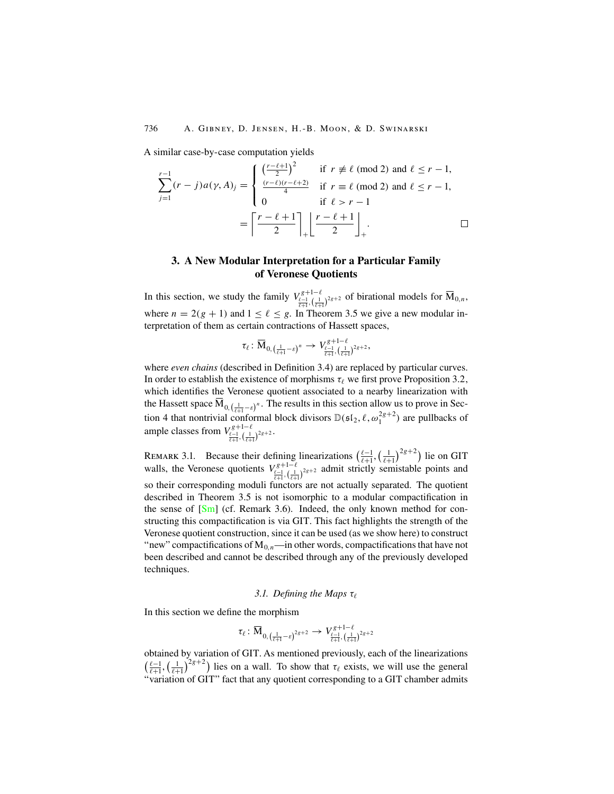A similar case-by-case computation yields

$$
\sum_{j=1}^{r-1} (r-j)a(\gamma, A)_j = \begin{cases} \left(\frac{r-\ell+1}{2}\right)^2 & \text{if } r \neq \ell \pmod{2} \text{ and } \ell \leq r-1, \\ \frac{(r-\ell)(r-\ell+2)}{4} & \text{if } r = \ell \pmod{2} \text{ and } \ell \leq r-1, \\ 0 & \text{if } \ell > r-1 \end{cases}
$$

$$
= \left\lceil \frac{r-\ell+1}{2} \right\rceil + \left\lfloor \frac{r-\ell+1}{2} \right\rfloor + \cdots \square
$$

# **3. A New Modular Interpretation for a Particular Family of Veronese Quotients**

In this section, we study the family  $V_{\frac{\ell-1}{\ell+1},\binom{1}{\ell+1}}^{g+1-\ell}$  of birational models for  $\overline{M}_{0,n}$ , where  $n = 2(g + 1)$  and  $1 \le \ell \le g$ . In Theorem 3.5 we give a new modular interpretation of them as certain contractions of Hassett spaces,

$$
\tau_{\ell} \colon \overline{\mathrm{M}}_{0, \left(\frac{1}{\ell+1}-\varepsilon\right)^n} \rightarrow V_{\frac{\ell-1}{\ell+1}, \left(\frac{1}{\ell+1}\right)^{2g+2}},
$$

where *even chains* (described in Definition 3.4) are replaced by particular curves. In order to establish the existence of morphisms  $\tau_\ell$  we first prove Proposition 3.2, which identifies the Veronese quotient associated to a nearby linearization with the Hassett space  $M_{0,(\frac{1}{\ell+1}-\varepsilon)^n}$ . The results in this section allow us to prove in Section 4 that nontrivial conformal block divisors  $\mathbb{D}(\mathfrak{sl}_2, \ell, \omega_1^{2g+2})$  are pullbacks of ample classes from  $V_{\frac{\ell-1}{\ell+1},\left(\frac{1}{\ell+1}\right)^{2g+2}}^{g+1-\ell}$ .

REMARK 3.1. Because their defining linearizations  $\left(\frac{\ell-1}{\ell+1}, \left(\frac{1}{\ell+1}\right)^{2g+2}\right)$  lie on GIT walls, the Veronese quotients  $V_{\frac{\ell-1}{\ell+1},(\frac{1}{\ell+1})^{2g+2}}^{g+1-\ell}$  admit strictly semistable points and so their corresponding moduli functors are not actually separated. The quotient described in Theorem 3.5 is not isomorphic to a modular compactification in the sense of  $\lceil Sm \rceil$  (cf. Remark 3.6). Indeed, the only known method for constructing this compactification is via GIT. This fact highlights the strength of the Veronese quotient construction, since it can be used (as we show here) to construct "new" compactifications of  $M_{0,n}$ —in other words, compactifications that have not been described and cannot be described through any of the previously developed techniques.

## *3.1. Defining the Maps* τ

In this section we define the morphism

$$
\tau_\ell\colon\overline{\mathrm{M}}_{0, \, (\frac{1}{\ell+1}-\varepsilon)^{2g+2}}\to V_{\frac{\ell-1}{\ell+1}, \, (\frac{1}{\ell+1})^{2g+2}}^{\, g+1-\ell}
$$

obtained by variation of GIT. As mentioned previously, each of the linearizations  $(\frac{\ell-1}{\ell+1}, \left(\frac{1}{\ell+1}\right)^{2g+2})$  lies on a wall. To show that  $\tau_{\ell}$  exists, we will use the general "variation of GIT" fact that any quotient corresponding to a GIT chamber admits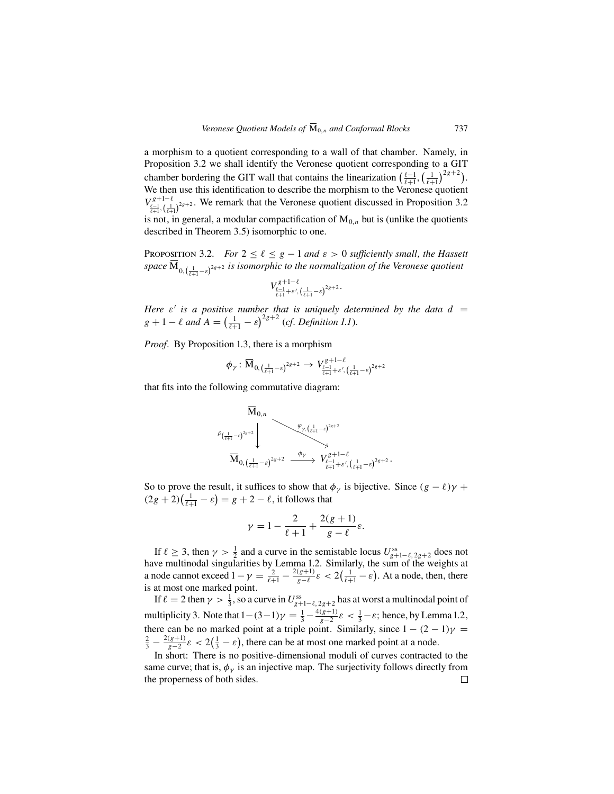a morphism to a quotient corresponding to a wall of that chamber. Namely, in Proposition 3.2 we shall identify the Veronese quotient corresponding to a GIT chamber bordering the GIT wall that contains the linearization  $\left(\frac{\ell-1}{\ell+1}, \left(\frac{1}{\ell+1}\right)^{2g+2}\right)$ . We then use this identification to describe the morphism to the Veronese quotient  $V_{\frac{\ell-1}{\ell+1},(\frac{1}{\ell+1})^{2g+2}}^{g+1-\ell}$ . We remark that the Veronese quotient discussed in Proposition 3.2 is not, in general, a modular compactification of  $M_{0,n}$  but is (unlike the quotients

described in Theorem 3.5) isomorphic to one.

PROPOSITION 3.2. *For*  $2 \leq \ell \leq g-1$  and  $\varepsilon > 0$  sufficiently small, the Hassett space  $\mathbf{M}_{0, \left(\frac{1}{\ell+1}-\varepsilon\right)^{2g+2}}$  is isomorphic to the normalization of the Veronese quotient

$$
V_{\frac{\ell-1}{\ell+1}+\varepsilon',\,(\frac{1}{\ell+1}-\varepsilon)^{2g+2}}^{g+1-\ell}.
$$

*Here*  $\varepsilon'$  *is a positive number that is uniquely determined by the data d =*  $g + 1 - \ell$  and  $A = \left(\frac{1}{\ell + 1} - \varepsilon\right)^{2g + 2}$  (*cf. Definition 1.1*).

*Proof.* By Proposition 1.3, there is a morphism

$$
\phi_{\gamma}: \overline{\mathrm{M}}_{0, \left(\frac{1}{\ell+1}-\varepsilon\right)^{2g+2}} \rightarrow V_{\frac{\ell-1}{\ell+1}+\varepsilon', \left(\frac{1}{\ell+1}-\varepsilon\right)^{2g+2}}
$$

that fits into the following commutative diagram:

$$
\overline{\mathbf{M}}_{0,n} \longrightarrow \begin{matrix} \overline{\mathbf{M}}_{0,n} & & \mathbf{W}_{\gamma, \left( \frac{1}{\ell+1} - \varepsilon \right)^{2g+2}} \\ & \downarrow & & \mathbf{W}_{0, \left( \frac{1}{\ell+1} - \varepsilon \right)^{2g+2}} \end{matrix}
$$

So to prove the result, it suffices to show that  $\phi_{\gamma}$  is bijective. Since  $(g - \ell)\gamma$  +  $(2g + 2)(\frac{1}{l+1} - \varepsilon) = g + 2 - \ell$ , it follows that

$$
\gamma = 1 - \frac{2}{\ell+1} + \frac{2(g+1)}{g-\ell}\varepsilon.
$$

If  $\ell \geq 3$ , then  $\gamma > \frac{1}{2}$  and a curve in the semistable locus  $U_{g+1-\ell, 2g+2}^{ss}$  does not have multinodal singularities by Lemma 1.2. Similarly, the sum of the weights at a node cannot exceed  $1 - \gamma = \frac{2}{\ell+1} - \frac{2(g+1)}{g-\ell} \varepsilon < 2(\frac{1}{\ell+1} - \varepsilon)$ . At a node, then, there is at most one marked point.

If  $\ell = 2$  then  $\gamma > \frac{1}{3}$ , so a curve in  $U_{g+1-\ell, 2g+2}^{ss}$  has at worst a multinodal point of multiplicity 3. Note that  $1-(3-1)\gamma = \frac{1}{3} - \frac{4(g+1)}{g-2}\varepsilon < \frac{1}{3} - \varepsilon$ ; hence, by Lemma 1.2, there can be no marked point at a triple point. Similarly, since  $1 - (2 - 1)\gamma =$  $\frac{2}{3} - \frac{2(g+1)}{g-2} \varepsilon < 2(\frac{1}{3} - \varepsilon)$ , there can be at most one marked point at a node.

In short: There is no positive-dimensional moduli of curves contracted to the same curve; that is,  $\phi_{\nu}$  is an injective map. The surjectivity follows directly from the properness of both sides. $\Box$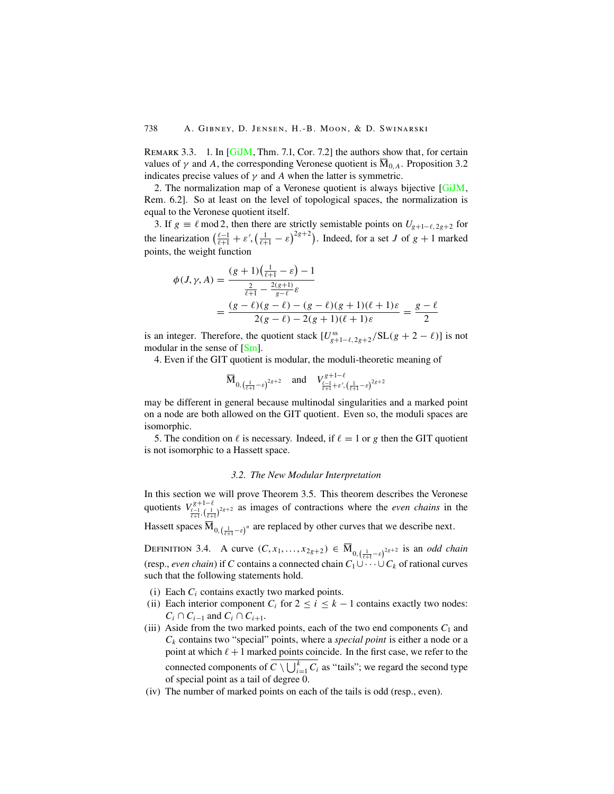REMARK 3.3. 1. In [\[GiJM](#page-29-0), Thm. 7.1, Cor. 7.2] the authors show that, for certain values of  $\gamma$  and A, the corresponding Veronese quotient is  $\overline{M}_{0,A}$ . Proposition 3.2 indicates precise values of  $\gamma$  and A when the latter is symmetric.

2. The normalization map of a Veronese quotient is always bijective [\[GiJM](#page-29-0), Rem. 6.2]. So at least on the level of topological spaces, the normalization is equal to the Veronese quotient itself.

3. If  $g \equiv \ell \mod 2$ , then there are strictly semistable points on  $U_{g+1-\ell,2g+2}$  for the linearization  $\left(\frac{\ell-1}{\ell+1} + \varepsilon', \left(\frac{1}{\ell+1} - \varepsilon\right)^{2g+2}\right)$ . Indeed, for a set J of  $g + 1$  marked points, the weight function

$$
\begin{aligned} \phi(J, \gamma, A) &= \frac{(g+1)\left(\frac{1}{\ell+1} - \varepsilon\right) - 1}{\frac{2}{\ell+1} - \frac{2(g+1)}{g-\ell}\varepsilon} \\ &= \frac{(g-\ell)(g-\ell) - (g-\ell)(g+1)(\ell+1)\varepsilon}{2(g-\ell) - 2(g+1)(\ell+1)\varepsilon} = \frac{g-\ell}{2} \end{aligned}
$$

is an integer. Therefore, the quotient stack  $[U_{g+1-\ell,2g+2}^{ss}/SL(g+2-\ell)]$  is not modular in the sense of  $[Sm]$ .

4. Even if the GIT quotient is modular, the moduli-theoretic meaning of

$$
\overline{M}_{0,(\frac{1}{\ell+1}-\varepsilon)^{2g+2}}
$$
 and  $V_{\frac{\ell-1}{\ell+1}+\varepsilon',(\frac{1}{\ell+1}-\varepsilon)^{2g+2}}$ 

may be different in general because multinodal singularities and a marked point on a node are both allowed on the GIT quotient. Even so, the moduli spaces are isomorphic.

5. The condition on  $\ell$  is necessary. Indeed, if  $\ell = 1$  or g then the GIT quotient is not isomorphic to a Hassett space.

## *3.2. The New Modular Interpretation*

In this section we will prove Theorem 3.5. This theorem describes the Veronese quotients  $V_{\frac{\ell-1}{\ell+1},(\frac{1}{\ell+1})^{2g+2}}^{g+1-\ell}$  as images of contractions where the *even chains* in the Hassett spaces  $M_{0,(\frac{1}{\ell+1}-\varepsilon)^n}$  are replaced by other curves that we describe next.

DEFINITION 3.4. A curve  $(C, x_1, ..., x_{2g+2}) \in \overline{M}_{0, (\frac{1}{\ell+1}-\varepsilon)^{2g+2}}$  is an *odd chain* (resp., *even chain*) if C contains a connected chain  $C_1 \cup \cdots \cup C_k$  of rational curves such that the following statements hold.

- (i) Each  $C_i$  contains exactly two marked points.
- (ii) Each interior component  $C_i$  for  $2 \le i \le k 1$  contains exactly two nodes:  $C_i \cap C_{i-1}$  and  $C_i \cap C_{i+1}$ .
- (iii) Aside from the two marked points, each of the two end components  $C_1$  and  $C_k$  contains two "special" points, where a *special point* is either a node or a point at which  $\ell + 1$  marked points coincide. In the first case, we refer to the connected components of  $C \setminus \bigcup_{i=1}^{k} C_i$  as "tails"; we regard the second type of special point as a tail of degree 0.
- (iv) The number of marked points on each of the tails is odd (resp., even).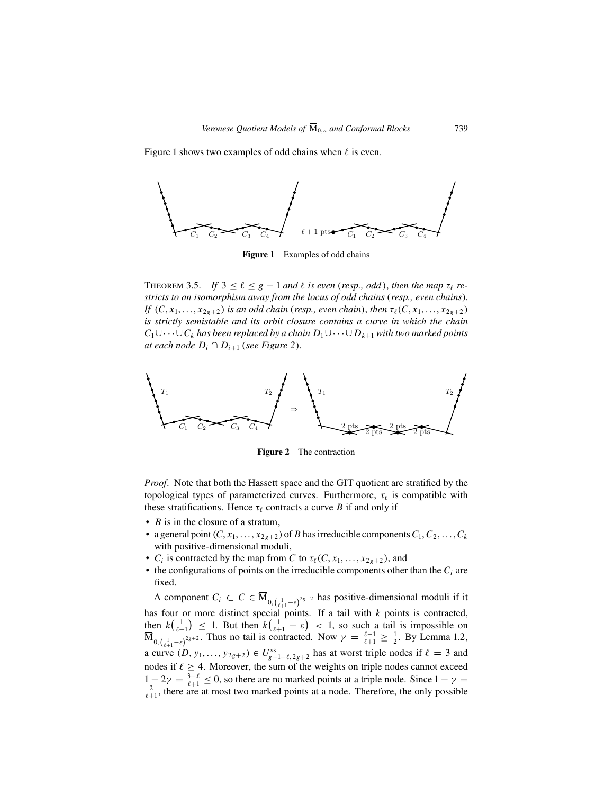Figure 1 shows two examples of odd chains when  $\ell$  is even.



**Figure 1** Examples of odd chains

THEOREM 3.5. *If*  $3 \leq \ell \leq g-1$  and  $\ell$  is even (*resp., odd*), then the map  $\tau_{\ell}$  re*stricts to an isomorphism away from the locus of odd chains* (*resp., even chains*). *If*  $(C, x_1, \ldots, x_{2g+2})$  *is an odd chain* (*resp., even chain*), *then*  $\tau_\ell(C, x_1, \ldots, x_{2g+2})$ *is strictly semistable and its orbit closure contains a curve in which the chain*  $C_1 \cup \cdots \cup C_k$  has been replaced by a chain  $D_1 \cup \cdots \cup D_{k+1}$  with two marked points *at each node*  $D_i \cap D_{i+1}$  (*see Figure 2*).



**Figure 2** The contraction

*Proof.* Note that both the Hassett space and the GIT quotient are stratified by the topological types of parameterized curves. Furthermore,  $\tau_{\ell}$  is compatible with these stratifications. Hence  $\tau_{\ell}$  contracts a curve B if and only if

- $B$  is in the closure of a stratum,
- a general point  $(C, x_1, \ldots, x_{2g+2})$  of B has irreducible components  $C_1, C_2, \ldots, C_k$ with positive-dimensional moduli,
- $C_i$  is contracted by the map from C to  $\tau_\ell(C, x_1, \ldots, x_{2g+2})$ , and
- the configurations of points on the irreducible components other than the  $C_i$  are fixed.

A component  $C_i \subset C \in \overline{M}_{0,(\frac{1}{\ell+1}-\varepsilon)^{2g+2}}$  has positive-dimensional moduli if it has four or more distinct special points. If a tail with  $k$  points is contracted, then  $k(\frac{1}{\ell+1}) \leq 1$ . But then  $k(\frac{1}{\ell+1} - \varepsilon) < 1$ , so such a tail is impossible on  $\overline{M}_{0,\left(\frac{1}{\ell+1}-\varepsilon\right)^{2g+2}}$ . Thus no tail is contracted. Now  $\gamma = \frac{\ell-1}{\ell+1} \geq \frac{1}{2}$ . By Lemma 1.2, a curve  $(D, y_1, \ldots, y_{2g+2}) \in U_{g+1-\ell, 2g+2}^{\text{ss}}$  has at worst triple nodes if  $\ell = 3$  and nodes if  $\ell \geq 4$ . Moreover, the sum of the weights on triple nodes cannot exceed  $1 - 2\gamma = \frac{3-\ell}{\ell+1} \le 0$ , so there are no marked points at a triple node. Since  $1 - \gamma =$ <br> $\frac{2}{\ell+1}$  there are at most two marked points at a node. Therefore, the only possible  $\frac{2}{\ell+1}$ , there are at most two marked points at a node. Therefore, the only possible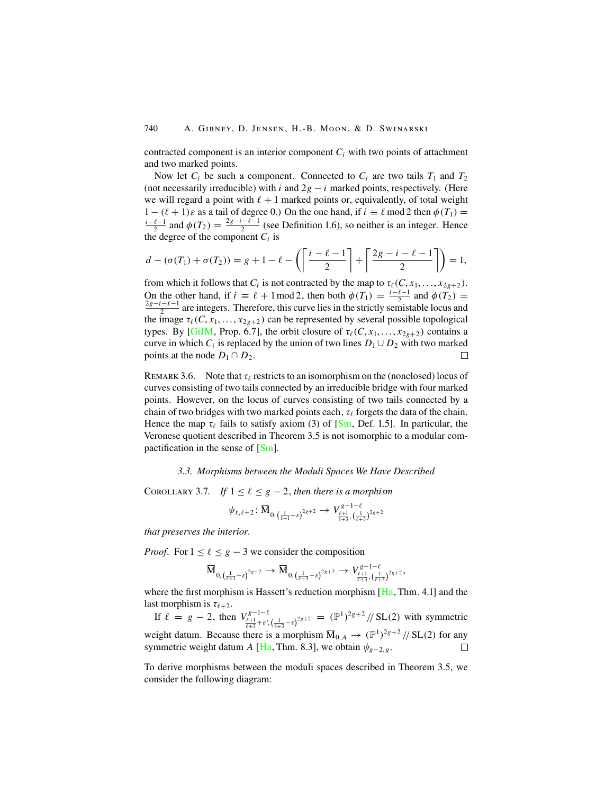contracted component is an interior component  $C_i$  with two points of attachment and two marked points.

Now let  $C_i$  be such a component. Connected to  $C_i$  are two tails  $T_1$  and  $T_2$ (not necessarily irreducible) with i and  $2g - i$  marked points, respectively. (Here we will regard a point with  $\ell + 1$  marked points or, equivalently, of total weight  $1 - (\ell + 1)\varepsilon$  as a tail of degree 0.) On the one hand, if  $i \equiv \ell \mod 2$  then  $\phi(T_1) =$  $\frac{i-\ell-1}{2}$  and  $\phi(T_2) = \frac{2g-i-\ell-1}{2}$  (see Definition 1.6), so neither is an integer. Hence the degree of the component  $C_i$  is

$$
d - (\sigma(T_1) + \sigma(T_2)) = g + 1 - \ell - \left( \left\lceil \frac{i - \ell - 1}{2} \right\rceil + \left\lceil \frac{2g - i - \ell - 1}{2} \right\rceil \right) = 1,
$$

from which it follows that  $C_i$  is not contracted by the map to  $\tau_\ell(C, x_1, \ldots, x_{2g+2})$ . On the other hand, if  $i \equiv \ell + 1 \mod 2$ , then both  $\phi(T_1) = \frac{i-\ell-1}{2}$  and  $\phi(T_2) = \frac{2g-i-\ell-1}{2}$  are integers. Therefore, this curve lies in the strictly semistable locus and the image  $\tau_{\ell}(C, x_1, \ldots, x_{2g+2})$  can be represented by several possible topological types. By [\[GiJM](#page-29-0), Prop. 6.7], the orbit closure of  $\tau_{\ell}(C, x_1, \ldots, x_{2g+2})$  contains a curve in which  $C_i$  is replaced by the union of two lines  $D_1 \cup D_2$  with two marked points at the node  $D_1 \cap D_2$ .  $\Box$ 

REMARK 3.6. Note that  $\tau_{\ell}$  restricts to an isomorphism on the (nonclosed) locus of curves consisting of two tails connected by an irreducible bridge with four marked points. However, on the locus of curves consisting of two tails connected by a chain of two bridges with two marked points each,  $\tau_\ell$  forgets the data of the chain. Hence the map  $\tau_{\ell}$  fails to satisfy axiom (3) of [\[Sm](#page-30-0), Def. 1.5]. In particular, the Veronese quotient described in Theorem 3.5 is not isomorphic to a modular compactification in the sense of  $[Sm]$ .

#### *3.3. Morphisms between the Moduli Spaces We Have Described*

COROLLARY 3.7. *If*  $1 \leq \ell \leq g-2$ , *then there is a morphism* 

$$
\psi_{\ell,\ell+2}\colon\overline{\mathrm{M}}_{0, \left(\frac{1}{\ell+1}-\varepsilon\right)^{2g+2}}\to V_{\frac{\ell+1}{\ell+3}, \left(\frac{1}{\ell+3}\right)^{2g+2}}^{g-1-\ell}
$$

*that preserves the interior.*

*Proof.* For  $1 \leq \ell \leq g - 3$  we consider the composition

$$
\overline{\mathrm{M}}_{0, \left(\frac{1}{\ell+1}-\varepsilon \right)^{2g+2}} \to \overline{\mathrm{M}}_{0, \left(\frac{1}{\ell+3}-\varepsilon \right)^{2g+2}} \to V_{\frac{\ell+1}{\ell+3}, \left(\frac{1}{\ell+3} \right)^{2g+2}}^{\varepsilon-1-\ell},
$$

where the first morphism is [Ha](#page-29-0)ssett's reduction morphism  $[Ha, Thm. 4.1]$  and the last morphism is  $\tau_{\ell+2}$ .

If  $\ell = g - 2$ , then  $V_{\frac{\ell+1}{\ell+3} + \varepsilon', (\frac{1}{\ell+3} - \varepsilon)^{2g+2}}^{g-1-\ell} = (\mathbb{P}^1)^{2g+2} / \sqrt{\text{SL}(2)}$  with symmetric weight datum. Because there is a morphism  $\overline{M}_{0,A} \rightarrow (\mathbb{P}^1)^{2g+2}/\!/$  SL(2) for any symmetric weight datum A [[Ha](#page-29-0), Thm. 8.3], we obtain  $\psi_{g-2,g}$ .  $\Box$ 

To derive morphisms between the moduli spaces described in Theorem 3.5, we consider the following diagram: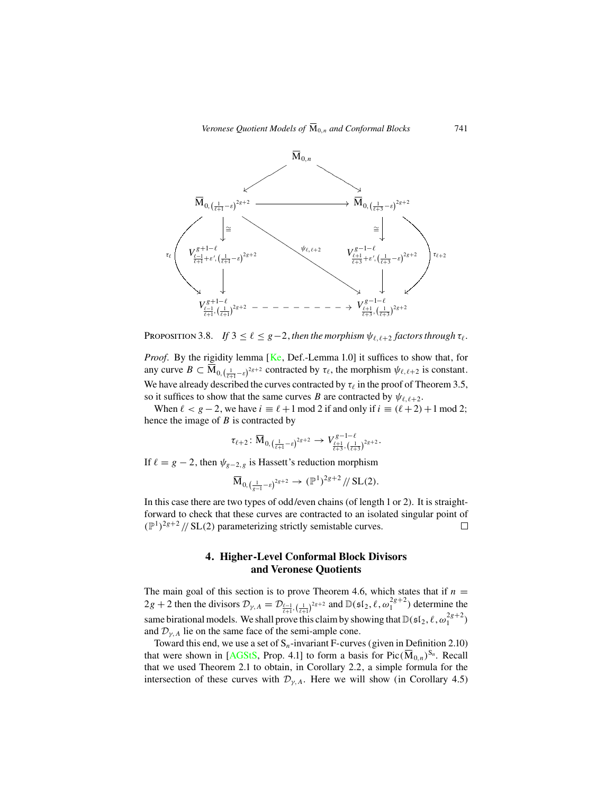

PROPOSITION 3.8. *If*  $3 \leq \ell \leq g-2$ , then the morphism  $\psi_{\ell, \ell+2}$  factors through  $\tau_{\ell}$ .

*Proof.* By the rigidity lemma [[Ke](#page-29-0), Def.-Lemma 1.0] it suffices to show that, for any curve  $B \subset \overline{M}_{0,(\frac{1}{\ell+1}-\varepsilon)^{2g+2}}$  contracted by  $\tau_{\ell}$ , the morphism  $\psi_{\ell,\ell+2}$  is constant. We have already described the curves contracted by  $\tau_{\ell}$  in the proof of Theorem 3.5, so it suffices to show that the same curves B are contracted by  $\psi_{\ell,\ell+2}$ .

When  $\ell < g-2$ , we have  $i \equiv \ell + 1 \mod 2$  if and only if  $i \equiv (\ell + 2) + 1 \mod 2$ ; hence the image of  $B$  is contracted by

$$
\tau_{\ell+2}\colon \overline{\mathrm{M}}_{0, \left(\frac{1}{\ell+1}-\varepsilon \right)^{2g+2}} \to V_{\frac{\ell+1}{\ell+3}, \left(\frac{1}{\ell+3}\right)^{2g+2}}^{\varepsilon-1-\ell}.
$$

If  $\ell = g - 2$ , then  $\psi_{g-2,g}$  is Hassett's reduction morphism

$$
\overline{\mathrm{M}}_{0, \left(\frac{1}{g-1}-\varepsilon\right)^{2g+2}} \to (\mathbb{P}^1)^{2g+2}/\!/ \mathrm{SL}(2).
$$

In this case there are two types of odd/even chains (of length 1 or 2). It is straightforward to check that these curves are contracted to an isolated singular point of  $(\mathbb{P}^1)^{2g+2}$  // SL(2) parameterizing strictly semistable curves.  $\Box$ 

# **4. Higher-Level Conformal Block Divisors and Veronese Quotients**

The main goal of this section is to prove Theorem 4.6, which states that if  $n =$  $2g + 2$  then the divisors  $\mathcal{D}_{\gamma,A} = \mathcal{D}_{\frac{\ell-1}{\ell+1}, (\frac{1}{\ell+1})^{2g+2}}$  and  $\mathbb{D}(\mathfrak{sl}_2, \ell, \omega_1^{2g+2})$  determine the same birational models. We shall prove this claim by showing that  $\mathbb{D}(\mathfrak{sl}_2, \ell, \omega_1^{2g+2})$ and  $\mathcal{D}_{\nu,A}$  lie on the same face of the semi-ample cone.

Toward this end, we use a set of  $S_n$ -invariant F-curves (given in Definition 2.10) that were shown in [[AGStS,](#page-29-0) Prop. 4.1] to form a basis for Pic( $\overline{M}_{0,n}$ )<sup>S<sub>n</sub></sup>. Recall that we used Theorem 2.1 to obtain, in Corollary 2.2, a simple formula for the intersection of these curves with  $\mathcal{D}_{v, A}$ . Here we will show (in Corollary 4.5)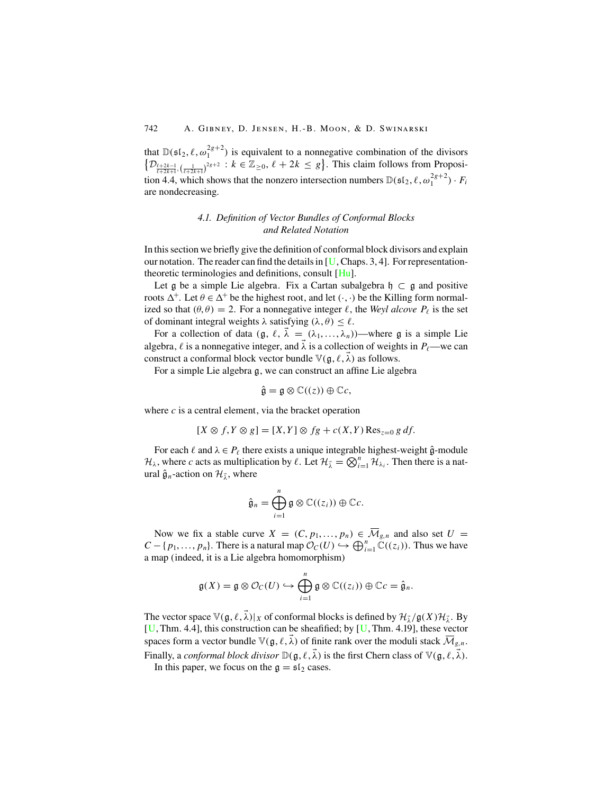that  $\mathbb{D}(\mathfrak{sl}_2, \ell, \omega_1^{2g+2})$  is equivalent to a nonnegative combination of the divisors  $\{\mathcal{D}_{\frac{\ell+2k-1}{\ell+2k+1}, \left(\frac{1}{\ell+2k+1}\right)^{2g+2}} : k \in \mathbb{Z}_{\geq 0}, \ell+2k \leq g\}.$  This claim follows from Proposition 4.4, which shows that the nonzero intersection numbers  $\mathbb{D}(\mathfrak{sl}_2, \ell, \omega_1^{2g+2}) \cdot F_i$ are nondecreasing.

# *4.1. Definition of Vector Bundles of Conformal Blocks and Related Notation*

In this section we briefly give the definition of conformal block divisors and explain our notation. The reader can find the details in  $[U, Chaps. 3, 4]$  $[U, Chaps. 3, 4]$  $[U, Chaps. 3, 4]$ . For representationtheoretic terminologies and definitions, consult [[Hu\]](#page-29-0).

Let g be a simple Lie algebra. Fix a Cartan subalgebra  $\mathfrak{h} \subset \mathfrak{g}$  and positive roots  $\Delta^+$ . Let  $\theta \in \Delta^+$  be the highest root, and let  $(\cdot, \cdot)$  be the Killing form normalized so that  $(\theta, \theta) = 2$ . For a nonnegative integer  $\ell$ , the *Weyl alcove*  $P_{\ell}$  is the set of dominant integral weights  $\lambda$  satisfying  $(\lambda, \theta) \leq \ell$ .

For a collection of data  $(\mathfrak{g}, \ell, \vec{\lambda}) = (\lambda_1, ..., \lambda_n)$ )—where g is a simple Lie algebra,  $\ell$  is a nonnegative integer, and  $\vec{\lambda}$  is a collection of weights in  $P_{\ell}$ —we can construct a conformal block vector bundle  $\mathbb{V}(\mathfrak{g}, \ell, \vec{\lambda})$  as follows.

For a simple Lie algebra g, we can construct an affine Lie algebra

$$
\hat{\mathfrak{g}} = \mathfrak{g} \otimes \mathbb{C}((z)) \oplus \mathbb{C}c,
$$

where  $c$  is a central element, via the bracket operation

$$
[X \otimes f, Y \otimes g] = [X, Y] \otimes fg + c(X, Y) \operatorname{Res}_{z=0} g df.
$$

For each  $\ell$  and  $\lambda \in P_{\ell}$  there exists a unique integrable highest-weight  $\hat{\mathfrak{g}}$ -module  $\mathcal{H}_\lambda$ , where c acts as multiplication by  $\ell$ . Let  $\mathcal{H}_{\lambda} = \bigotimes_{i=1}^n \mathcal{H}_{\lambda_i}$ . Then there is a natural  $\hat{\mathfrak{g}}_n$ -action on  $\mathcal{H}_{\vec{\lambda}}$ , where

$$
\hat{\mathfrak{g}}_n = \bigoplus_{i=1}^n \mathfrak{g} \otimes \mathbb{C}((z_i)) \oplus \mathbb{C}c.
$$

Now we fix a stable curve  $X = (C, p_1, \ldots, p_n) \in \overline{\mathcal{M}}_{g,n}$  and also set  $U =$  $C - \{p_1, ..., p_n\}$ . There is a natural map  $\mathcal{O}_C(U) \hookrightarrow \bigoplus_{i=1}^n \mathbb{C}((z_i))$ . Thus we have a map (indeed, it is a Lie algebra homomorphism)

$$
\mathfrak{g}(X) = \mathfrak{g} \otimes \mathcal{O}_C(U) \hookrightarrow \bigoplus_{i=1}^n \mathfrak{g} \otimes \mathbb{C}((z_i)) \oplus \mathbb{C}c = \hat{\mathfrak{g}}_n.
$$

The vector space  $\mathbb{V}(\mathfrak{g}, \ell, \vec{\lambda})|_X$  of conformal blocks is defined by  $\mathcal{H}_{\vec{\lambda}}/\mathfrak{g}(X)\mathcal{H}_{\vec{\lambda}}$ . By  $[U, Thm. 4.4]$  $[U, Thm. 4.4]$  $[U, Thm. 4.4]$ , this construction can be sheafified; by  $[U, Thm. 4.19]$ , these vector spaces form a vector bundle  $\mathbb{V}(\mathfrak{g}, \ell, \vec{\lambda})$  of finite rank over the moduli stack  $\overline{\mathcal{M}}_{g,n}$ . Finally, a *conformal block divisor*  $\mathbb{D}(\mathfrak{g}, \ell, \vec{\lambda})$  is the first Chern class of  $\mathbb{V}(\mathfrak{g}, \ell, \vec{\lambda})$ .

In this paper, we focus on the  $g = \frac{\epsilon}{2}$  cases.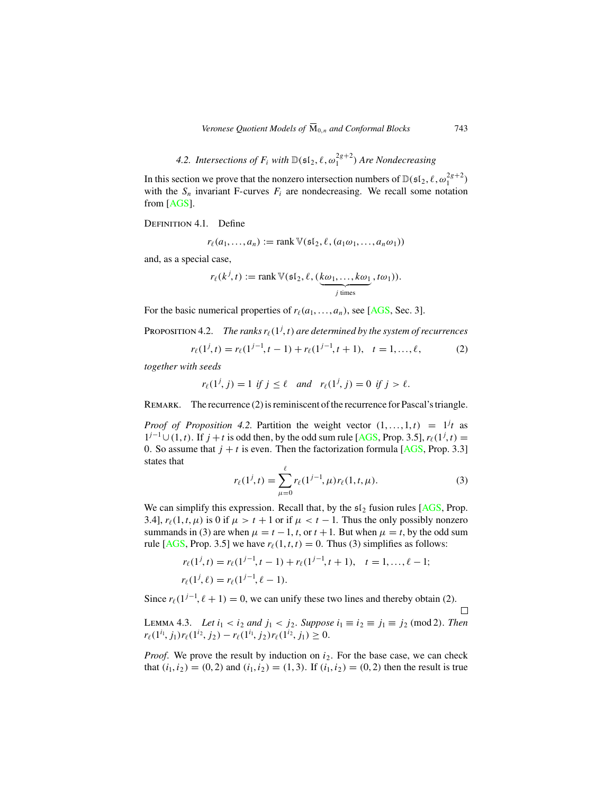4.2. Intersections of  $F_i$  with  $\mathbb{D}(\mathfrak{sl}_2, \ell, \omega_1^{2g+2})$  *Are Nondecreasing* 

In this section we prove that the nonzero intersection numbers of  $\mathbb{D}(\mathfrak{sl}_2, \ell, \omega_1^{2g+2})$ with the  $S_n$  invariant F-curves  $F_i$  are nondecreasing. We recall some notation from [[AGS\]](#page-29-0).

DEFINITION 4.1. Define

$$
r_{\ell}(a_1,\ldots,a_n):=\operatorname{rank}\mathbb{V}(\mathfrak{sl}_2,\ell,(a_1\omega_1,\ldots,a_n\omega_1))
$$

and, as a special case,

$$
r_{\ell}(k^{j}, t) := \operatorname{rank} \mathbb{V}(\mathfrak{sl}_2, \ell, (\underbrace{k\omega_1, \ldots, k\omega_1}_{j \text{ times}}, t\omega_1)).
$$

For the basic numerical properties of  $r_{\ell}(a_1, \ldots, a_n)$ , see [[AGS](#page-29-0), Sec. 3].

Proposition 4.2. *The ranks*  $r_{\ell}(1^j,t)$  *are determined by the system of recurrences* 

$$
r_{\ell}(1^j, t) = r_{\ell}(1^{j-1}, t-1) + r_{\ell}(1^{j-1}, t+1), \quad t = 1, \dots, \ell,
$$
 (2)

*together with seeds*

$$
r_{\ell}(1^j, j) = 1 \text{ if } j \leq \ell \quad \text{and} \quad r_{\ell}(1^j, j) = 0 \text{ if } j > \ell.
$$

REMARK. The recurrence (2) is reminiscent of the recurrence for Pascal's triangle.

*Proof of Proposition 4.2.* Partition the weight vector  $(1, \ldots, 1, t) = 1^{j}t$  as  $1^{j-1}$  ∪ (1, t). If  $j + t$  is odd then, by the odd sum rule [[AGS](#page-29-0), Prop. 3.5],  $r_{\ell}(1^j, t)$  = 0. So assume that  $j + t$  is even. Then the factorization formula [[AGS](#page-29-0), Prop. 3.3] states that

$$
r_{\ell}(1^j, t) = \sum_{\mu=0}^{\ell} r_{\ell}(1^{j-1}, \mu) r_{\ell}(1, t, \mu).
$$
 (3)

We can simplify this expression. Recall that, by the  $\mathfrak{sl}_2$  fusion rules [[AGS](#page-29-0), Prop. 3.4],  $r_{\ell}(1, t, \mu)$  is 0 if  $\mu > t + 1$  or if  $\mu < t - 1$ . Thus the only possibly nonzero summands in (3) are when  $\mu = t - 1$ , t, or  $t + 1$ . But when  $\mu = t$ , by the odd sum rule [[AGS,](#page-29-0) Prop. 3.5] we have  $r_{\ell}(1, t, t) = 0$ . Thus (3) simplifies as follows:

$$
r_{\ell}(1^j, t) = r_{\ell}(1^{j-1}, t-1) + r_{\ell}(1^{j-1}, t+1), \quad t = 1, ..., \ell - 1;
$$
  

$$
r_{\ell}(1^j, \ell) = r_{\ell}(1^{j-1}, \ell - 1).
$$

Since  $r_{\ell}(1^{j-1}, \ell + 1) = 0$ , we can unify these two lines and thereby obtain (2).

LEMMA 4.3. *Let*  $i_1 < i_2$  *and*  $j_1 < j_2$ . *Suppose*  $i_1 \equiv i_2 \equiv j_1 \equiv j_2 \pmod{2}$ . *Then*  $r_{\ell}(1^{i_1}, j_1) r_{\ell}(1^{i_2}, j_2) - r_{\ell}(1^{i_1}, j_2) r_{\ell}(1^{i_2}, j_1) \geq 0.$ 

*Proof.* We prove the result by induction on  $i_2$ . For the base case, we can check that  $(i_1, i_2) = (0, 2)$  and  $(i_1, i_2) = (1, 3)$ . If  $(i_1, i_2) = (0, 2)$  then the result is true

 $\Box$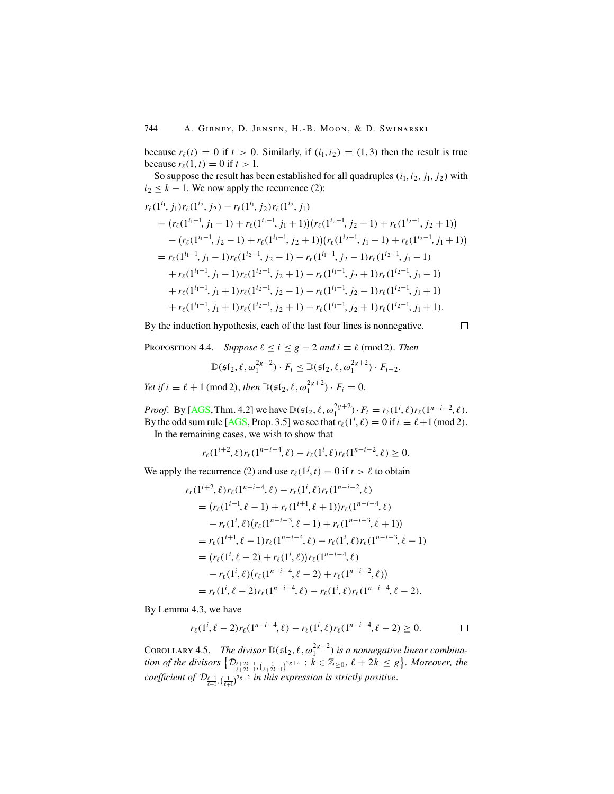because  $r_{\ell}(t) = 0$  if  $t > 0$ . Similarly, if  $(i_1, i_2) = (1, 3)$  then the result is true because  $r_{\ell}(1, t) = 0$  if  $t > 1$ .

So suppose the result has been established for all quadruples  $(i_1, i_2, j_1, j_2)$  with  $i_2 \leq k - 1$ . We now apply the recurrence (2):

$$
r_{\ell}(1^{i_1}, j_1) r_{\ell}(1^{i_2}, j_2) - r_{\ell}(1^{i_1}, j_2) r_{\ell}(1^{i_2}, j_1)
$$
  
= 
$$
(r_{\ell}(1^{i_1-1}, j_1-1) + r_{\ell}(1^{i_1-1}, j_1+1))(r_{\ell}(1^{i_2-1}, j_2-1) + r_{\ell}(1^{i_2-1}, j_2+1))
$$
  
- 
$$
(r_{\ell}(1^{i_1-1}, j_2-1) + r_{\ell}(1^{i_1-1}, j_2+1))(r_{\ell}(1^{i_2-1}, j_1-1) + r_{\ell}(1^{i_2-1}, j_1+1))
$$
  
= 
$$
r_{\ell}(1^{i_1-1}, j_1-1)r_{\ell}(1^{i_2-1}, j_2-1) - r_{\ell}(1^{i_1-1}, j_2-1)r_{\ell}(1^{i_2-1}, j_1-1)
$$
  
+ 
$$
r_{\ell}(1^{i_1-1}, j_1-1)r_{\ell}(1^{i_2-1}, j_2+1) - r_{\ell}(1^{i_1-1}, j_2+1)r_{\ell}(1^{i_2-1}, j_1+1)
$$
  
+ 
$$
r_{\ell}(1^{i_1-1}, j_1+1)r_{\ell}(1^{i_2-1}, j_2-1) - r_{\ell}(1^{i_1-1}, j_2-1)r_{\ell}(1^{i_2-1}, j_1+1)
$$
  
+ 
$$
r_{\ell}(1^{i_1-1}, j_1+1)r_{\ell}(1^{i_2-1}, j_2+1) - r_{\ell}(1^{i_1-1}, j_2+1)r_{\ell}(1^{i_2-1}, j_1+1).
$$

By the induction hypothesis, each of the last four lines is nonnegative.

PROPOSITION 4.4. *Suppose*  $\ell \leq i \leq g-2$  and  $i \equiv \ell \pmod{2}$ . *Then* 

$$
\mathbb{D}(\mathfrak{sl}_2, \ell, \omega_1^{2g+2}) \cdot F_i \leq \mathbb{D}(\mathfrak{sl}_2, \ell, \omega_1^{2g+2}) \cdot F_{i+2}.
$$

*Yet if*  $i \equiv \ell + 1 \pmod{2}$ , *then*  $\mathbb{D}(\mathfrak{sl}_2, \ell, \omega_1^{2g+2}) \cdot F_i = 0$ .

*Proof.* By [[AGS](#page-29-0), Thm. 4.2] we have  $\mathbb{D}(\mathfrak{sl}_2, \ell, \omega_1^{2g+2}) \cdot F_i = r_{\ell}(1^i, \ell) r_{\ell}(1^{n-i-2}, \ell).$ By the odd sum rule [[AGS,](#page-29-0) Prop. 3.5] we see that  $r_{\ell}(1^i, \ell) = 0$  if  $i \equiv \ell + 1 \pmod{2}$ .

In the remaining cases, we wish to show that

$$
r_{\ell}(1^{i+2},\ell)r_{\ell}(1^{n-i-4},\ell)-r_{\ell}(1^{i},\ell)r_{\ell}(1^{n-i-2},\ell)\geq 0.
$$

We apply the recurrence (2) and use  $r_{\ell}(1^j, t) = 0$  if  $t > \ell$  to obtain

$$
r_{\ell}(1^{i+2}, \ell) r_{\ell}(1^{n-i-4}, \ell) - r_{\ell}(1^{i}, \ell) r_{\ell}(1^{n-i-2}, \ell)
$$
  
= 
$$
(r_{\ell}(1^{i+1}, \ell-1) + r_{\ell}(1^{i+1}, \ell+1)) r_{\ell}(1^{n-i-4}, \ell)
$$
  

$$
- r_{\ell}(1^{i}, \ell) (r_{\ell}(1^{n-i-3}, \ell-1) + r_{\ell}(1^{n-i-3}, \ell+1))
$$
  
= 
$$
r_{\ell}(1^{i+1}, \ell-1) r_{\ell}(1^{n-i-4}, \ell) - r_{\ell}(1^{i}, \ell) r_{\ell}(1^{n-i-3}, \ell-1)
$$
  
= 
$$
(r_{\ell}(1^{i}, \ell-2) + r_{\ell}(1^{i}, \ell)) r_{\ell}(1^{n-i-4}, \ell)
$$
  

$$
- r_{\ell}(1^{i}, \ell) (r_{\ell}(1^{n-i-4}, \ell-2) + r_{\ell}(1^{n-i-2}, \ell))
$$
  
= 
$$
r_{\ell}(1^{i}, \ell-2) r_{\ell}(1^{n-i-4}, \ell) - r_{\ell}(1^{i}, \ell) r_{\ell}(1^{n-i-4}, \ell-2).
$$

By Lemma 4.3, we have

$$
r_{\ell}(1^i, \ell-2)r_{\ell}(1^{n-i-4}, \ell)-r_{\ell}(1^i, \ell)r_{\ell}(1^{n-i-4}, \ell-2)\geq 0.
$$

COROLLARY 4.5. The divisor  $\mathbb{D}(\mathfrak{sl}_2, \ell, \omega_1^{2g+2})$  is a nonnegative linear combination of the divisors  $\{ \mathcal{D}_{\frac{\ell+2k-1}{\ell+2k+1}}, \left(\frac{1}{\ell+2k+1}\right)^{2g+2} : k \in \mathbb{Z}_{\geq 0}, \ell+2k \leq g \}$ . Moreover, the  $\textit{coefficient of } \mathcal{D}_{\frac{\ell-1}{\ell+1}, \left(\frac{1}{\ell+1}\right)^{2g+2}}$  in this expression is strictly positive.

 $\Box$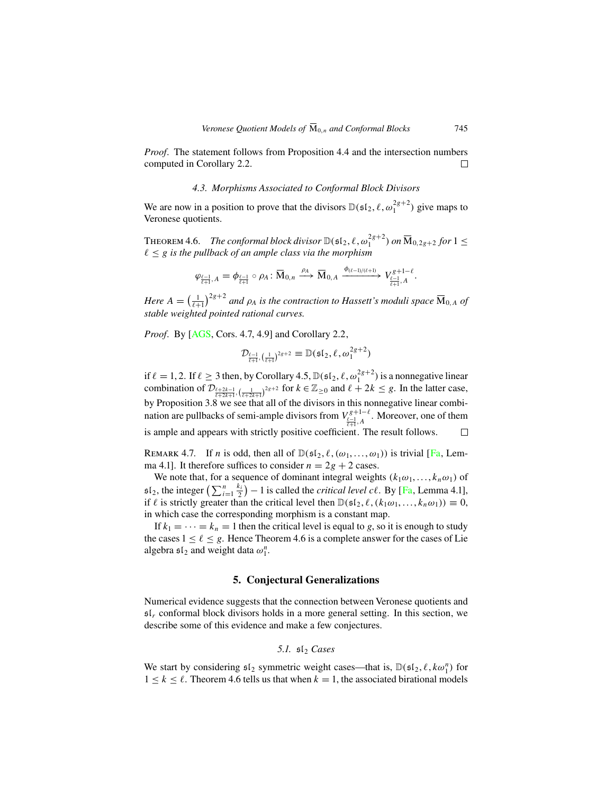*Proof.* The statement follows from Proposition 4.4 and the intersection numbers computed in Corollary 2.2.  $\Box$ 

#### *4.3. Morphisms Associated to Conformal Block Divisors*

We are now in a position to prove that the divisors  $\mathbb{D}(\mathfrak{sl}_2, \ell, \omega_1^{2g+2})$  give maps to Veronese quotients.

THEOREM 4.6. *The conformal block divisor*  $\mathbb{D}(\mathfrak{sl}_2, \ell, \omega_1^{2g+2})$  *on*  $\overline{\mathrm{M}}_{0,2g+2}$  for  $1 \leq$ ≤ g *is the pullback of an ample class via the morphism*

$$
\varphi_{\frac{\ell-1}{\ell+1},A}=\phi_{\frac{\ell-1}{\ell+1}}\circ\rho_A\colon \overline{\mathbf{M}}_{0,n}\xrightarrow{\rho_A} \overline{\mathbf{M}}_{0,A}\xrightarrow{\phi_{(\ell-1)/(\ell+1)}}V_{\frac{\ell-1}{\ell+1},A}^{g+1-\ell}.
$$

*Here*  $A = \left(\frac{1}{\ell+1}\right)^{2g+2}$  *and*  $\rho_A$  *is the contraction to Hassett's moduli space*  $\overline{M}_{0,A}$  *of stable weighted pointed rational curves.*

*Proof.* By [[AGS,](#page-29-0) Cors. 4.7, 4.9] and Corollary 2.2,

$$
\mathcal{D}_{\frac{\ell-1}{\ell+1},\left(\frac{1}{\ell+1}\right)^{2g+2}}\equiv\mathbb{D}(\mathfrak{sl}_2,\ell,\omega_1^{2g+2})
$$

if  $\ell = 1, 2$ . If  $\ell \geq 3$  then, by Corollary 4.5,  $\mathbb{D}(\mathfrak{sl}_2, \ell, \omega_1^{2g+2})$  is a nonnegative linear combination of  $\mathcal{D}_{\frac{\ell+2k-1}{\ell+2k+1}}, \left(\frac{1}{\ell+2k+1}\right)^{2g+2}$  for  $k \in \mathbb{Z}_{\geq 0}$  and  $\ell + 2k \leq g$ . In the latter case, by Proposition 3.8 we see that all of the divisors in this nonnegative linear combination are pullbacks of semi-ample divisors from  $V_{\frac{\ell-1}{\ell+1},A}^{\ell+1-\ell}$ . Moreover, one of them is ample and appears with strictly positive coefficient. The result follows.

REMARK 4.7. If *n* is odd, then all of  $\mathbb{D}(\mathfrak{sl}_2, \ell, (\omega_1, \ldots, \omega_1))$  is trivial [[Fa](#page-29-0), Lemma 4.1]. It therefore suffices to consider  $n = 2g + 2$  cases.

We note that, for a sequence of dominant integral weights  $(k_1\omega_1, \dots, k_n\omega_1)$  of  $\mathfrak{sl}_2$ , the integer  $\left(\sum_{i=1}^n \frac{k_i}{2}\right) - 1$  is called the *critical level cl.* By [[Fa](#page-29-0), Lemma 4.1], if  $\ell$  is strictly greater than the critical level then  $\mathbb{D}(\mathfrak{sl}_2, \ell, (k_1\omega_1, \ldots, k_n\omega_1)) \equiv 0$ , in which case the corresponding morphism is a constant map.

If  $k_1 = \cdots = k_n = 1$  then the critical level is equal to g, so it is enough to study the cases  $1 \leq \ell \leq g$ . Hence Theorem 4.6 is a complete answer for the cases of Lie algebra  $\mathfrak{sl}_2$  and weight data  $\omega_1^n$ .

## **5. Conjectural Generalizations**

Numerical evidence suggests that the connection between Veronese quotients and  $\mathfrak{sl}_r$  conformal block divisors holds in a more general setting. In this section, we describe some of this evidence and make a few conjectures.

5.1. 
$$
\mathfrak{sl}_2
$$
 Cases

We start by considering  $\mathfrak{sl}_2$  symmetric weight cases—that is,  $\mathbb{D}(\mathfrak{sl}_2, \ell, k\omega_1^n)$  for  $1 \leq k \leq \ell$ . Theorem 4.6 tells us that when  $k = 1$ , the associated birational models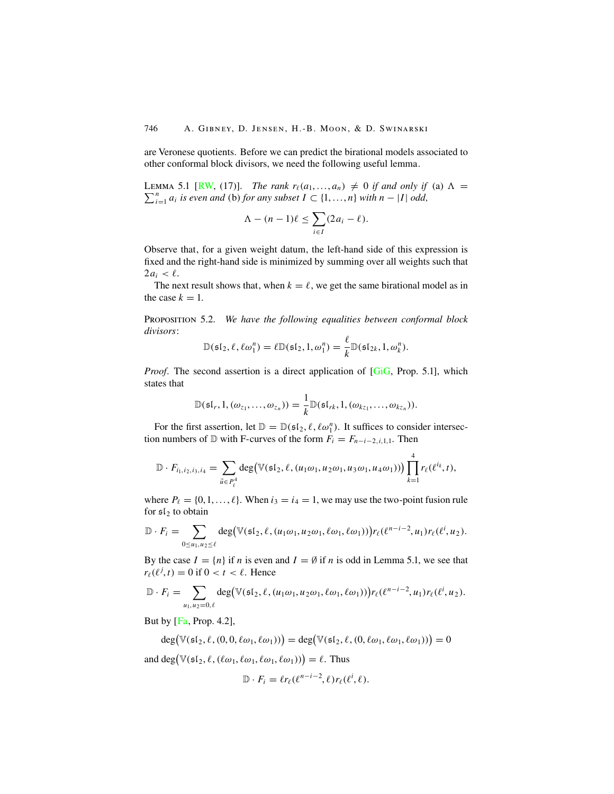are Veronese quotients. Before we can predict the birational models associated to other conformal block divisors, we need the following useful lemma.

 $\sum_{i=1}^{n} a_i$  *is even and* (b) *for any subset*  $I \subset \{1, ..., n\}$  *with*  $n - |I|$  *odd,* LEMMA 5.1 [[RW,](#page-30-0) (17)]. *The rank*  $r_{\ell}(a_1, \ldots, a_n) \neq 0$  *if and only if* (a)  $\Lambda = \sum_{i=1}^{n} a_i$  *is even and (b) for any subset*  $I \subset \{1, \ldots, n\}$  with  $n = |I|$  odd

$$
\Lambda - (n-1)\ell \leq \sum_{i \in I} (2a_i - \ell).
$$

Observe that, for a given weight datum, the left-hand side of this expression is fixed and the right-hand side is minimized by summing over all weights such that  $2a_i < l$ .

The next result shows that, when  $k = \ell$ , we get the same birational model as in the case  $k = 1$ .

Proposition 5.2. *We have the following equalities between conformal block divisors*:

$$
\mathbb{D}(\mathfrak{sl}_2, \ell, \ell \omega_1^n) = \ell \mathbb{D}(\mathfrak{sl}_2, 1, \omega_1^n) = \frac{\ell}{k} \mathbb{D}(\mathfrak{sl}_{2k}, 1, \omega_k^n).
$$

*Proof.* The second assertion is a direct application of [\[GiG,](#page-29-0) Prop. 5.1], which states that

$$
\mathbb{D}(\mathfrak{sl}_r,1,(\omega_{z_1},\ldots,\omega_{z_n}))=\frac{1}{k}\mathbb{D}(\mathfrak{sl}_{rk},1,(\omega_{kz_1},\ldots,\omega_{kz_n})).
$$

For the first assertion, let  $\mathbb{D} = \mathbb{D}(\mathfrak{sl}_2, \ell, \ell \omega_1^n)$ . It suffices to consider intersection numbers of  $\mathbb D$  with F-curves of the form  $F_i = F_{n-i-2,i,1,1}$ . Then

$$
\mathbb{D}\cdot F_{i_1,i_2,i_3,i_4}=\sum_{\vec{u}\in P_\ell^4}\text{deg}(\mathbb{V}(\mathfrak{sl}_2,\ell,(u_1\omega_1,u_2\omega_1,u_3\omega_1,u_4\omega_1))\big)\prod_{k=1}^4r_\ell(\ell^{i_k},t),
$$

where  $P_{\ell} = \{0, 1, \ldots, \ell\}$ . When  $i_3 = i_4 = 1$ , we may use the two-point fusion rule for  $sI_2$  to obtain

$$
\mathbb{D}\cdot F_i=\sum_{0\leq u_1,u_2\leq \ell}\deg(\mathbb{V}(\mathfrak{sl}_2,\ell,(u_1\omega_1,u_2\omega_1,\ell\omega_1,\ell\omega_1)))\bigg)r_{\ell}(\ell^{n-i-2},u_1)r_{\ell}(\ell^i,u_2).
$$

By the case  $I = \{n\}$  if n is even and  $I = \emptyset$  if n is odd in Lemma 5.1, we see that  $r_{\ell}(\ell^{j}, t) = 0$  if  $0 < t < \ell$ . Hence

$$
\mathbb{D}\cdot F_i=\sum_{u_1,u_2=0,\ell}\deg\big(\mathbb{V}(\mathfrak{sl}_2,\ell,(u_1\omega_1,u_2\omega_1,\ell\omega_1,\ell\omega_1))\big)r_{\ell}(\ell^{n-i-2},u_1)r_{\ell}(\ell^i,u_2).
$$

But by  $[Fa, Prop. 4.2]$  $[Fa, Prop. 4.2]$  $[Fa, Prop. 4.2]$ ,

$$
\deg(\mathbb{V}(\mathfrak{sl}_2,\ell,(0,0,\ell\omega_1,\ell\omega_1)) = \deg(\mathbb{V}(\mathfrak{sl}_2,\ell,(0,\ell\omega_1,\ell\omega_1,\ell\omega_1)) = 0
$$

and  $\deg(\mathbb{V}(\mathfrak{sl}_2, \ell, (\ell \omega_1, \ell \omega_1, \ell \omega_1, \ell \omega_1))) = \ell$ . Thus

$$
\mathbb{D} \cdot F_i = \ell r_\ell(\ell^{n-i-2}, \ell) r_\ell(\ell^i, \ell).
$$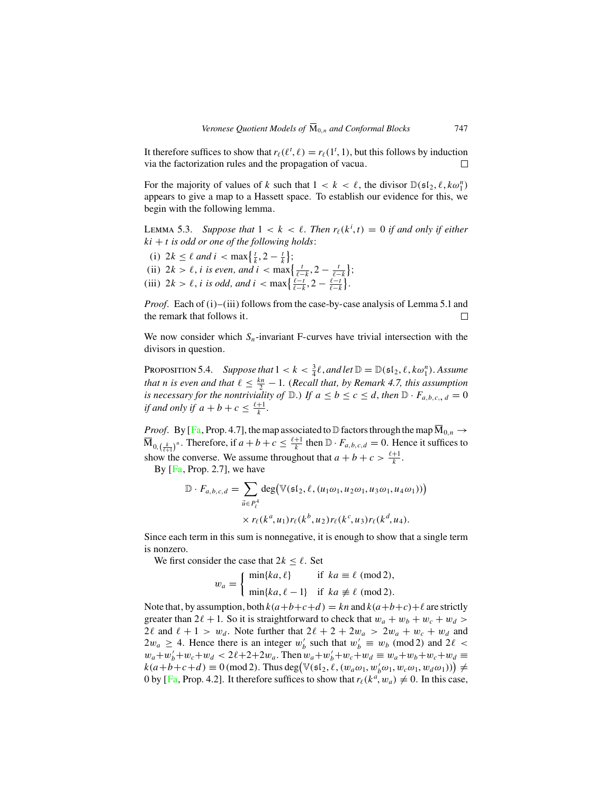It therefore suffices to show that  $r_{\ell}(\ell^t, \ell) = r_{\ell}(1^t, 1)$ , but this follows by induction via the factorization rules and the propagation of vacua.  $\Box$ 

For the majority of values of k such that  $1 < k < \ell$ , the divisor  $\mathbb{D}(\mathfrak{sl}_2, \ell, k\omega_1^n)$ appears to give a map to a Hassett space. To establish our evidence for this, we begin with the following lemma.

LEMMA 5.3. Suppose that  $1 < k < \ell$ . Then  $r_{\ell}(k^i, t) = 0$  if and only if either  $ki + t$  *is odd or one of the following holds*:

- (i)  $2k \leq \ell$  and  $i < \max\{\frac{t}{k}, 2 \frac{t}{k}\};$
- (ii)  $2k > \ell$ , *i is even, and i* < max  $\left\{\frac{t}{\ell k}, 2 \frac{t}{\ell k}\right\}$ ;

(iii)  $2k > \ell$ , *i is odd, and*  $i < \max\{\frac{\ell - k}{\ell - k}, 2 - \frac{\ell - k}{\ell - k}\}.$ 

*Proof.* Each of (i)–(iii) follows from the case-by-case analysis of Lemma 5.1 and the remark that follows it.  $\Box$ 

We now consider which  $S_n$ -invariant F-curves have trivial intersection with the divisors in question.

PROPOSITION 5.4. *Suppose that*  $1 < k < \frac{3}{4}\ell$ , and let  $\mathbb{D} = \mathbb{D}(\mathfrak{sl}_2, \ell, k\omega_1^n)$ . Assume *that n* is even and that  $\ell \leq \frac{k_n}{2} - 1$ . (*Recall that, by Remark 4.7, this assumption is necessary for the nontriviality of*  $\mathbb{D}$ *.) If*  $a \le b \le c \le d$ *, then*  $\mathbb{D} \cdot F_{a,b,c_i,d} = 0$ *if and only if*  $a + b + c \leq \frac{\ell + 1}{k}$ .

*Proof.* By [[Fa](#page-29-0), Prop. 4.7], the map associated to  $\mathbb D$  factors through the map  $\overline{M}_{0,n} \to$  $\overline{M}_{0,\binom{k}{r+1}}$ <sup>n</sup>. Therefore, if  $a+b+c \leq \frac{\ell+1}{k}$  then  $\mathbb{D} \cdot F_{a,b,c,d} = 0$ . Hence it suffices to show the converse. We assume throughout that  $a + b + c > \frac{\ell+1}{k}$ .

By [[Fa](#page-29-0), Prop. 2.7], we have

$$
\mathbb{D} \cdot F_{a,b,c,d} = \sum_{\vec{u} \in P_{\ell}^4} \deg(\mathbb{V}(\mathfrak{sl}_2, \ell, (u_1 \omega_1, u_2 \omega_1, u_3 \omega_1, u_4 \omega_1)))
$$

$$
\times r_{\ell}(k^a, u_1) r_{\ell}(k^b, u_2) r_{\ell}(k^c, u_3) r_{\ell}(k^d, u_4).
$$

Since each term in this sum is nonnegative, it is enough to show that a single term is nonzero.

We first consider the case that  $2k \leq \ell$ . Set

$$
w_a = \begin{cases} \min\{ka, \ell\} & \text{if } ka \equiv \ell \pmod{2}, \\ \min\{ka, \ell - 1\} & \text{if } ka \not\equiv \ell \pmod{2}. \end{cases}
$$

Note that, by assumption, both  $k(a+b+c+d) = kn$  and  $k(a+b+c)+\ell$  are strictly greater than  $2\ell + 1$ . So it is straightforward to check that  $w_a + w_b + w_c + w_d > 0$ 2 $\ell$  and  $\ell + 1 > w_d$ . Note further that  $2\ell + 2 + 2w_a > 2w_a + w_c + w_d$  and  $2w_a \geq 4$ . Hence there is an integer  $w'_b$  such that  $w'_b \equiv w_b \pmod{2}$  and  $2\ell <$  $w_a + w'_b + w_c + w_d < 2\ell + 2 + 2w_a$ . Then  $w_a + w'_b + w_c + w_d \equiv w_a + w_b + w_c + w_d \equiv w_a$  $k(a+b+c+d) \equiv 0 \pmod{2}$ . Thus deg $(\mathbb{V}(\mathfrak{sl}_2, \ell, (w_a \omega_1, w'_b \omega_1, w_c \omega_1, w_d \omega_1)) \neq$ 0 by [[Fa](#page-29-0), Prop. 4.2]. It therefore suffices to show that  $r_{\ell}(k^a, w_a) \neq 0$ . In this case,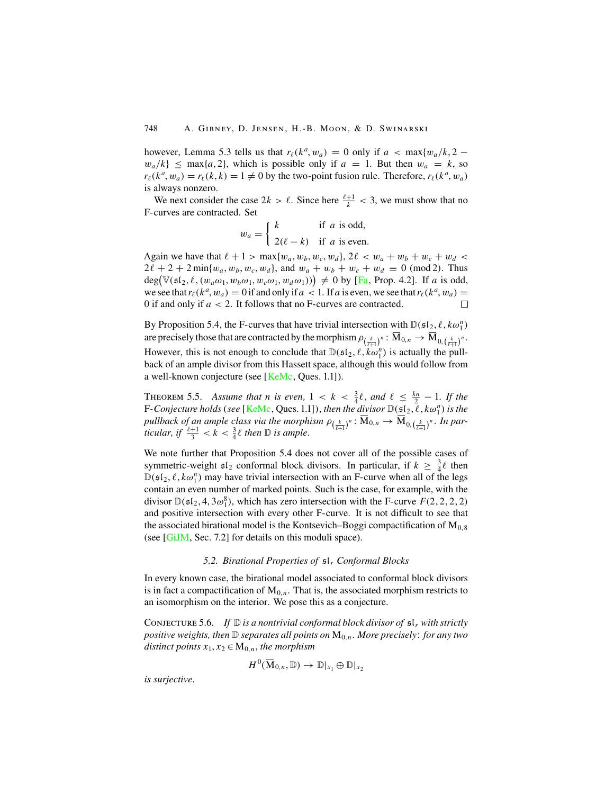however, Lemma 5.3 tells us that  $r_{\ell}(k^a, w_a) = 0$  only if  $a < \max\{w_a/k, 2 - \ell\}$  $w_a/k$   $\leq$  max $\{a, 2\}$ , which is possible only if  $a = 1$ . But then  $w_a = k$ , so  $r_{\ell}(k^a, w_a) = r_{\ell}(k, k) = 1 \neq 0$  by the two-point fusion rule. Therefore,  $r_{\ell}(k^a, w_a)$ is always nonzero.

We next consider the case  $2k > \ell$ . Since here  $\frac{\ell+1}{k} < 3$ , we must show that no F-curves are contracted. Set

$$
w_a = \begin{cases} k & \text{if } a \text{ is odd,} \\ 2(\ell - k) & \text{if } a \text{ is even.} \end{cases}
$$

Again we have that  $\ell + 1 > \max\{w_a, w_b, w_c, w_d\}, 2\ell < w_a + w_b + w_c + w_d <$  $2\ell + 2 + 2 \min\{w_a, w_b, w_c, w_d\}$ , and  $w_a + w_b + w_c + w_d \equiv 0 \pmod{2}$ . Thus  $deg(\mathbb{V}(\mathfrak{sl}_2, \ell, (w_a \omega_1, w_b \omega_1, w_c \omega_1, w_d \omega_1))) \neq 0$  by [[Fa](#page-29-0), Prop. 4.2]. If a is odd, we see that  $r_{\ell}(k^a, w_a) = 0$  if and only if  $a < 1$ . If a is even, we see that  $r_{\ell}(k^a, w_a) =$ 0 if and only if  $a < 2$ . It follows that no F-curves are contracted.

By Proposition 5.4, the F-curves that have trivial intersection with  $\mathbb{D}(\mathfrak{sl}_2, \ell, k\omega_1^n)$ are precisely those that are contracted by the morphism  $\rho_{(\frac{k}{\ell+1})^n} \colon \overline{M}_{0,n} \to \overline{M}_{0,(\frac{k}{\ell+1})^n}.$ However, this is not enough to conclude that  $\mathbb{D}(\mathfrak{sl}_2, \ell, k\omega_1^n)$  is actually the pullback of an ample divisor from this Hassett space, although this would follow from a well-known conjecture (see [[KeMc](#page-29-0), Ques. 1.1]).

THEOREM 5.5. Assume that *n* is even,  $1 < k < \frac{3}{4}\ell$ , and  $\ell \leq \frac{kn}{2} - 1$ . If the F-Conjecture holds (see [[KeMc](#page-29-0), Ques. 1.1]), *then the divisor*  $\mathbb{D}(\mathfrak{sl}_2,\ell,k\omega_1^n)$  is the *pullback of an ample class via the morphism*  $\rho_{(\frac{k}{\ell+1})^n} : \overline{M}_{0,n} \to \overline{M}_{0,(\frac{k}{\ell+1})^n}$ . In par*ticular, if*  $\frac{\ell+1}{3} < k < \frac{3}{4} \ell$  *then*  $\mathbb{D}$  *is ample.* 

We note further that Proposition 5.4 does not cover all of the possible cases of symmetric-weight  $\mathfrak{sl}_2$  conformal block divisors. In particular, if  $k \geq \frac{3}{4}\ell$  then  $\mathbb{D}(\mathfrak{sl}_2, \ell, k\omega_1^n)$  may have trivial intersection with an F-curve when all of the legs contain an even number of marked points. Such is the case, for example, with the divisor  $\mathbb{D}(\mathfrak{sl}_2, 4, 3\omega_1^8)$ , which has zero intersection with the F-curve  $F(2,2,2,2)$ and positive intersection with every other F-curve. It is not difficult to see that the associated birational model is the Kontsevich–Boggi compactification of  $M<sub>0.8</sub>$ (see [[GiJM](#page-29-0), Sec. 7.2] for details on this moduli space).

### *5.2. Birational Properties of* sl<sup>r</sup> *Conformal Blocks*

In every known case, the birational model associated to conformal block divisors is in fact a compactification of  $M_{0,n}$ . That is, the associated morphism restricts to an isomorphism on the interior. We pose this as a conjecture.

CONJECTURE 5.6. *If*  $\mathbb{D}$  *is a nontrivial conformal block divisor of*  $\mathfrak{sl}_r$  *with strictly positive weights, then* D *separates all points on* M0,n. *More precisely*: *for any two distinct points*  $x_1, x_2 \in M_{0,n}$ , *the morphism* 

$$
H^0(\overline{\mathrm{M}}_{0,n}, \mathbb{D}) \to \mathbb{D}|_{x_1} \oplus \mathbb{D}|_{x_2}
$$

*is surjective.*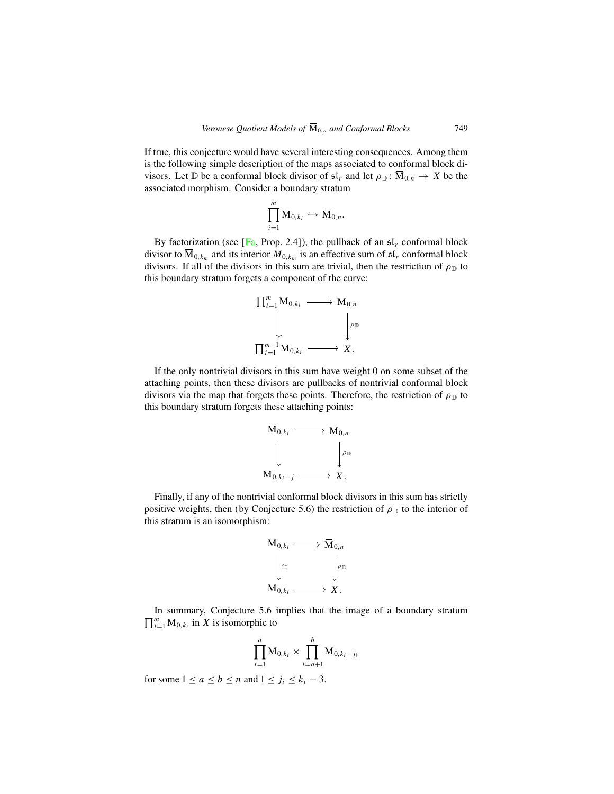If true, this conjecture would have several interesting consequences. Among them is the following simple description of the maps associated to conformal block divisors. Let D be a conformal block divisor of  $\mathfrak{sl}_r$  and let  $\rho_{\mathbb{D}}: \overline{M}_{0,n} \to X$  be the associated morphism. Consider a boundary stratum

$$
\prod_{i=1}^m \mathbf{M}_{0,k_i} \hookrightarrow \overline{\mathbf{M}}_{0,n}.
$$

By factorization (see [[Fa](#page-29-0), Prop. 2.4]), the pullback of an  $\mathfrak{sl}_r$  conformal block divisor to  $\overline{M}_{0,k_m}$  and its interior  $M_{0,k_m}$  is an effective sum of  $\mathfrak{sl}_r$  conformal block divisors. If all of the divisors in this sum are trivial, then the restriction of  $\rho_{\mathbb{D}}$  to this boundary stratum forgets a component of the curve:



If the only nontrivial divisors in this sum have weight 0 on some subset of the attaching points, then these divisors are pullbacks of nontrivial conformal block divisors via the map that forgets these points. Therefore, the restriction of  $\rho_{\mathbb{D}}$  to this boundary stratum forgets these attaching points:



Finally, if any of the nontrivial conformal block divisors in this sum has strictly positive weights, then (by Conjecture 5.6) the restriction of  $\rho_{\mathbb{D}}$  to the interior of this stratum is an isomorphism:



 $\prod_{i=1}^m M_{0,k_i}$  in X is isomorphic to In summary, Conjecture 5.6 implies that the image of a boundary stratum

$$
\prod_{i=1}^{a} M_{0,k_i} \times \prod_{i=a+1}^{b} M_{0,k_i-j_i}
$$

for some  $1 \le a \le b \le n$  and  $1 \le j_i \le k_i - 3$ .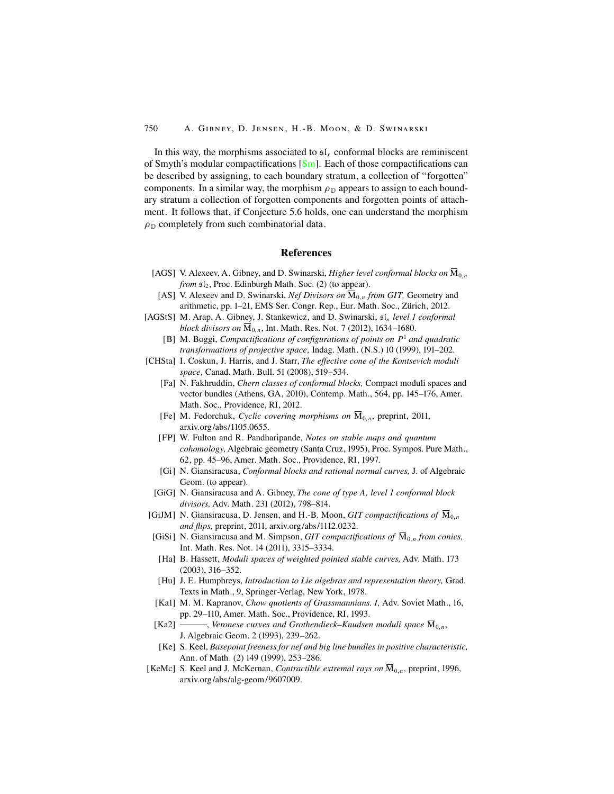<span id="page-29-0"></span>In this way, the morphisms associated to  $\mathfrak{sl}_r$  conformal blocks are reminiscent of Smyth's modular compactifications [\[Sm\]](#page-30-0). Each of those compactifications can be described by assigning, to each boundary stratum, a collection of "forgotten" components. In a similar way, the morphism  $\rho_{\mathbb{D}}$  appears to assign to each boundary stratum a collection of forgotten components and forgotten points of attachment. It follows that, if Conjecture 5.6 holds, one can understand the morphism  $\rho_{\rm D}$  completely from such combinatorial data.

## **References**

- [AGS] V. Alexeev, A. Gibney, and D. Swinarski, *Higher level conformal blocks on*  $\overline{M}_{0,n}$ *from*  $\mathfrak{sl}_2$ , Proc. Edinburgh Math. Soc. (2) (to appear).
	- [AS] V. Alexeev and D. Swinarski, *Nef Divisors on*  $\overline{M}_{0,n}$  *from GIT*, Geometry and arithmetic, pp. 1–21, EMS Ser. Congr. Rep., Eur. Math. Soc., Zürich, 2012.
- [AGStS] M. Arap, A. Gibney, J. Stankewicz, and D. Swinarski,  $\mathfrak{sl}_n$  *level 1 conformal block divisors on*  $\overline{M}_{0,n}$ , Int. Math. Res. Not. 7 (2012), 1634–1680.
	- [B] M. Boggi, *Compactifications of configurations of points on* P<sup>1</sup> *and quadratic transformations of projective space,* Indag. Math. (N.S.) 10 (1999), 191–202.
- [CHSta] I. Coskun, J. Harris, and J. Starr, *The effective cone of the Kontsevich moduli space,* Canad. Math. Bull. 51 (2008), 519–534.
	- [Fa] N. Fakhruddin, *Chern classes of conformal blocks,* Compact moduli spaces and vector bundles (Athens, GA, 2010), Contemp. Math., 564, pp. 145–176, Amer. Math. Soc., Providence, RI, 2012.
	- [Fe] M. Fedorchuk, *Cyclic covering morphisms on*  $\overline{M}_{0,n}$ , preprint, 2011, arxiv.org/abs/1105.0655.
	- [FP] W. Fulton and R. Pandharipande, *Notes on stable maps and quantum cohomology,* Algebraic geometry (Santa Cruz, 1995), Proc. Sympos. Pure Math., 62, pp. 45–96, Amer. Math. Soc., Providence, RI, 1997.
	- [Gi] N. Giansiracusa, *Conformal blocks and rational normal curves,* J. of Algebraic Geom. (to appear).
	- [GiG] N. Giansiracusa and A. Gibney, *The cone of type A, level 1 conformal block divisors,* Adv. Math. 231 (2012), 798–814.
- [GiJM] N. Giansiracusa, D. Jensen, and H.-B. Moon, *GIT compactifications of*  $\mathbf{M}_{0,n}$ *and flips,* preprint, 2011, arxiv.org/abs/1112.0232.
	- [GiSi] N. Giansiracusa and M. Simpson, *GIT compactifications of*  $\overline{M}_{0,n}$  *from conics*, Int. Math. Res. Not. 14 (2011), 3315–3334.
		- [Ha] B. Hassett, *Moduli spaces of weighted pointed stable curves,* Adv. Math. 173 (2003), 316–352.
	- [Hu] J. E. Humphreys, *Introduction to Lie algebras and representation theory,* Grad. Texts in Math., 9, Springer-Verlag, New York, 1978.
	- [Ka1] M. M. Kapranov, *Chow quotients of Grassmannians. I,* Adv. Soviet Math., 16, pp. 29–110, Amer. Math. Soc., Providence, RI, 1993.
	- [Ka2]  $\longrightarrow$ , *Veronese curves and Grothendieck–Knudsen moduli space*  $\overline{M}_{0,n}$ , J. Algebraic Geom. 2 (1993), 239–262.
	- [Ke] S. Keel, *Basepoint freeness for nef and big line bundles in positive characteristic,* Ann. of Math. (2) 149 (1999), 253–286.
- [KeMc] S. Keel and J. McKernan, *Contractible extremal rays on*  $\overline{M}_{0,n}$ , preprint, 1996, arxiv.org/abs/alg-geom/9607009.